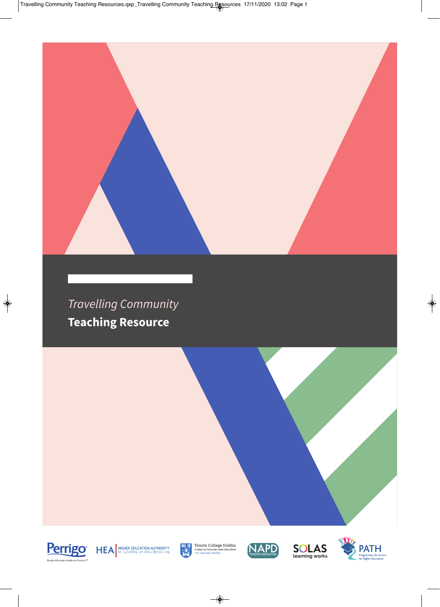#### Travelling Community **Teaching Resource**





 $\begin{tabular}{l|c|c|} \hline \textbf{3.7}\ \hline \textbf{4.1}\ \hline \textbf{5.8}\ \hline \textbf{6.9}\ \hline \textbf{7.9}\ \hline \textbf{8.9}\ \hline \textbf{9.9}\ \hline \textbf{1.9}\ \hline \textbf{1.9}\ \hline \textbf{1.9}\ \hline \textbf{1.9}\ \hline \textbf{1.9}\ \hline \textbf{1.9}\ \hline \textbf{1.9}\ \hline \textbf{1.9}\ \hline \textbf{1.9}\ \hline \textbf{1.9}\ \hline \textbf{1.9}\ \hline \textbf{1.$ 





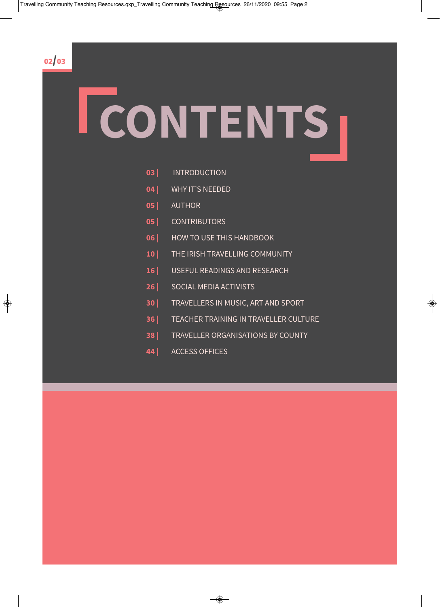02/03

## **CONTENTS**

- **03 |** INTRODUCTION
- **04 |** WHY IT'S NEEDED
- **05 |** AUTHOR
- **05 |** CONTRIBUTORS
- **06 |** HOW TO USE THIS HANDBOOK
- **10 |** THE IRISH TRAVELLING COMMUNITY
- **16 |** USEFUL READINGS AND RESEARCH
- **26 |** SOCIAL MEDIA ACTIVISTS
- **30 |** TRAVELLERS IN MUSIC, ART AND SPORT
- **36 |** TEACHER TRAINING IN TRAVELLER CULTURE
- **38 |** TRAVELLER ORGANISATIONS BY COUNTY
- **44 |** ACCESS OFFICES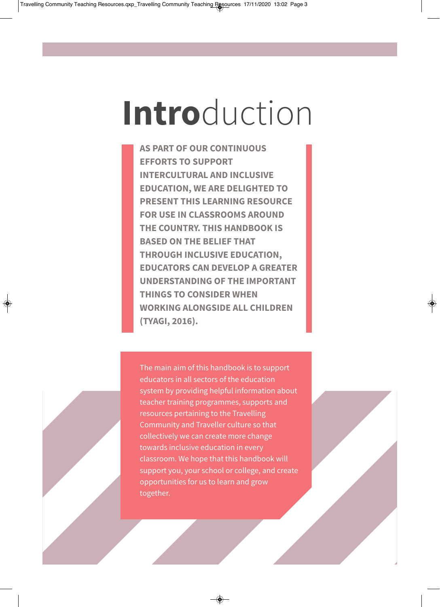## **Intro**duction

**AS PART OF OUR CONTINUOUS EFFORTS TO SUPPORT INTERCULTURAL AND INCLUSIVE EDUCATION, WE ARE DELIGHTED TO PRESENT THIS LEARNING RESOURCE FOR USE IN CLASSROOMS AROUND THE COUNTRY. THIS HANDBOOK IS BASED ON THE BELIEF THAT THROUGH INCLUSIVE EDUCATION, EDUCATORS CAN DEVELOP A GREATER UNDERSTANDING OF THE IMPORTANT THINGS TO CONSIDER WHEN WORKING ALONGSIDE ALL CHILDREN (TYAGI, 2016).**

The main aim of this handbook is to support educators in all sectors of the education system by providing helpful information about teacher training programmes, supports and resources pertaining to the Travelling Community and Traveller culture so that collectively we can create more change towards inclusive education in every classroom. We hope that this handbook will support you, your school or college, and create opportunities for us to learn and grow together.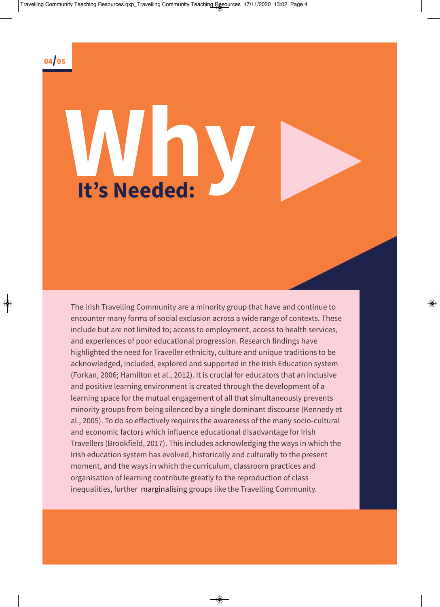

# **Why It's Needed:**

The Irish Travelling Community are a minority group that have and continue to encounter many forms of social exclusion across a wide range of contexts. These include but are not limited to; access to employment, access to health services, and experiences of poor educational progression. Research findings have highlighted the need for Traveller ethnicity, culture and unique traditions to be acknowledged, included, explored and supported in the Irish Education system (Forkan, 2006; Hamilton et al., 2012). It is crucial for educators that an inclusive and positive learning environment is created through the development of a learning space for the mutual engagement of all that simultaneously prevents minority groups from being silenced by a single dominant discourse (Kennedy et al., 2005). To do so effectively requires the awareness of the many socio-cultural and economic factors which influence educational disadvantage for Irish Travellers (Brookfield, 2017). This includes acknowledging the ways in which the Irish education system has evolved, historically and culturally to the present moment, and the ways in which the curriculum, classroom practices and organisation of learning contribute greatly to the reproduction of class inequalities, further marginalising groups like the Travelling Community.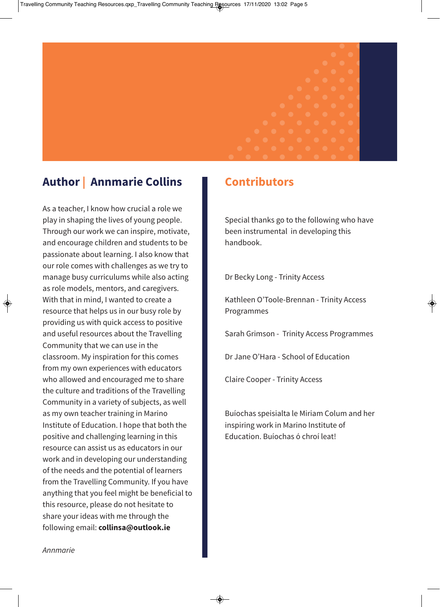#### **Author | Annmarie Collins**

As a teacher, I know how crucial a role we play in shaping the lives of young people. Through our work we can inspire, motivate, and encourage children and students to be passionate about learning. I also know that our role comes with challenges as we try to manage busy curriculums while also acting as role models, mentors, and caregivers. With that in mind, I wanted to create a resource that helps us in our busy role by providing us with quick access to positive and useful resources about the Travelling Community that we can use in the classroom. My inspiration for this comes from my own experiences with educators who allowed and encouraged me to share the culture and traditions of the Travelling Community in a variety of subjects, as well as my own teacher training in Marino Institute of Education. I hope that both the positive and challenging learning in this resource can assist us as educators in our work and in developing our understanding of the needs and the potential of learners from the Travelling Community. If you have anything that you feel might be beneficial to this resource, please do not hesitate to share your ideas with me through the following email: **[collinsa@outlook.ie](mailto: collinsa@outlook.ie)**

#### **Contributors**

Special thanks go to the following who have been instrumental in developing this handbook.

Dr Becky Long - Trinity Access

Kathleen O'Toole-Brennan - Trinity Access Programmes

Sarah Grimson - Trinity Access Programmes

Dr Jane O'Hara - School of Education

Claire Cooper - Trinity Access

Buíochas speisialta le Miriam Colum and her inspiring work in Marino Institute of Education. Buíochas ó chroí leat!

Annmarie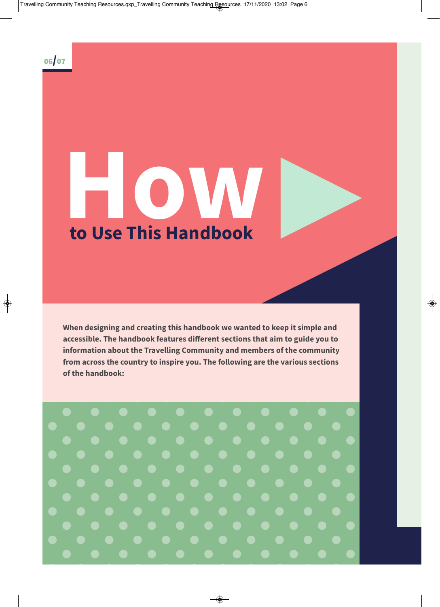

## **How to Use This Handbook**

**When designing and creating this handbook we wanted to keep it simple and accessible. The handbook features different sections that aim to guide you to information about the Travelling Community and members of the community from across the country to inspire you. The following are the various sections of the handbook:**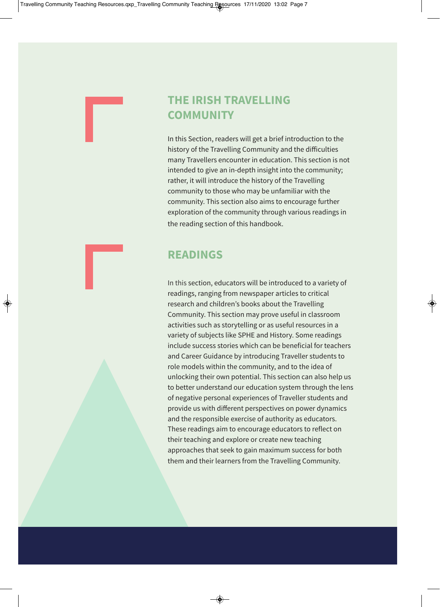#### **THE IRISH TRAVELLING COMMUNITY**

In this Section, readers will get a brief introduction to the history of the Travelling Community and the difficulties many Travellers encounter in education. This section is not intended to give an in-depth insight into the community; rather, it will introduce the history of the Travelling community to those who may be unfamiliar with the community. This section also aims to encourage further exploration of the community through various readings in the reading section of this handbook.

#### **READINGS**

In this section, educators will be introduced to a variety of readings, ranging from newspaper articles to critical research and children's books about the Travelling Community. This section may prove useful in classroom activities such as storytelling or as useful resources in a variety of subjects like SPHE and History. Some readings include success stories which can be beneficial for teachers and Career Guidance by introducing Traveller students to role models within the community, and to the idea of unlocking their own potential. This section can also help us to better understand our education system through the lens of negative personal experiences of Traveller students and provide us with different perspectives on power dynamics and the responsible exercise of authority as educators. These readings aim to encourage educators to reflect on their teaching and explore or create new teaching approaches that seek to gain maximum success for both them and their learners from the Travelling Community.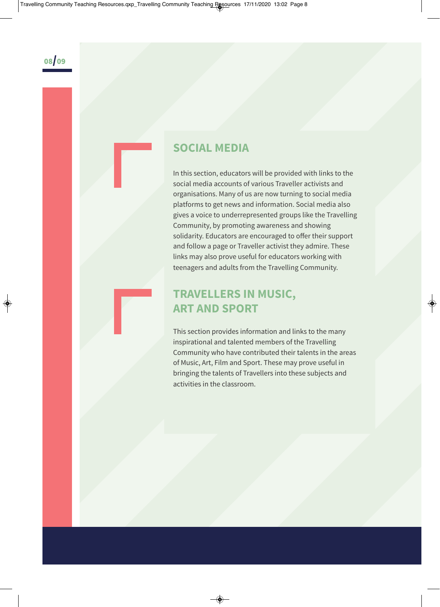#### **SOCIAL MEDIA**

In this section, educators will be provided with links to the social media accounts of various Traveller activists and organisations. Many of us are now turning to social media platforms to get news and information. Social media also gives a voice to underrepresented groups like the Travelling Community, by promoting awareness and showing solidarity. Educators are encouraged to offer their support and follow a page or Traveller activist they admire. These links may also prove useful for educators working with teenagers and adults from the Travelling Community.

#### **TRAVELLERS IN MUSIC, ART AND SPORT**

This section provides information and links to the many inspirational and talented members of the Travelling Community who have contributed their talents in the areas of Music, Art, Film and Sport. These may prove useful in bringing the talents of Travellers into these subjects and activities in the classroom.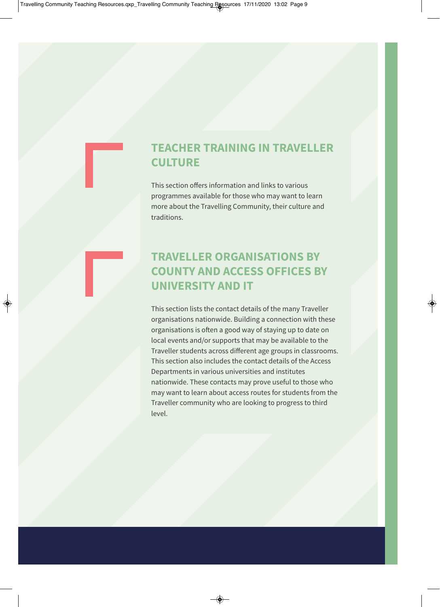#### **TEACHER TRAINING IN TRAVELLER CULTURE**

This section offers information and links to various programmes available for those who may want to learn more about the Travelling Community, their culture and traditions.

#### **TRAVELLER ORGANISATIONS BY COUNTY AND ACCESS OFFICES BY UNIVERSITY AND IT**

This section lists the contact details of the many Traveller organisations nationwide. Building a connection with these organisations is often a good way of staying up to date on local events and/or supports that may be available to the Traveller students across different age groups in classrooms. This section also includes the contact details of the Access Departments in various universities and institutes nationwide. These contacts may prove useful to those who may want to learn about access routes for students from the Traveller community who are looking to progress to third level.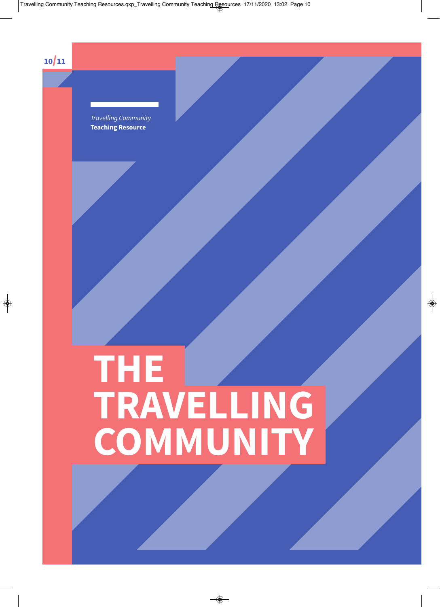10/11

Travelling Community **Teaching Resource** 

## **THE TRAVELLING COMMUNITY**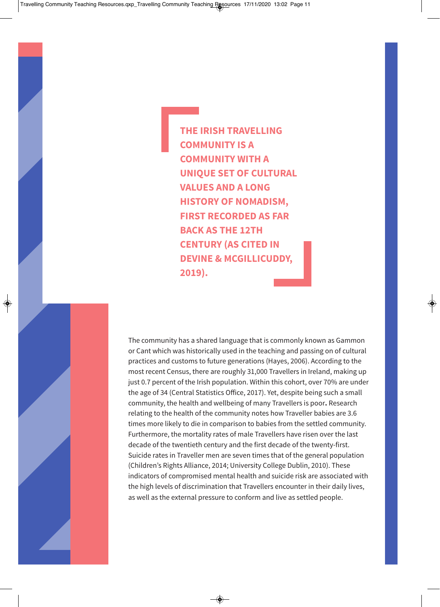**THE IRISH TRAVELLING COMMUNITY IS A COMMUNITY WITH A UNIQUE SET OF CULTURAL VALUES AND A LONG HISTORY OF NOMADISM, FIRST RECORDED AS FAR BACK AS THE 12TH CENTURY (AS CITED IN DEVINE & MCGILLICUDDY, 2019).**

The community has a shared language that is commonly known as Gammon or Cant which was historically used in the teaching and passing on of cultural practices and customs to future generations (Hayes, 2006). According to the most recent Census, there are roughly 31,000 Travellers in Ireland, making up just 0.7 percent of the Irish population. Within this cohort, over 70% are under the age of 34 (Central Statistics Office, 2017). Yet, despite being such a small community, the health and wellbeing of many Travellers is poor**.** Research relating to the health of the community notes how Traveller babies are 3.6 times more likely to die in comparison to babies from the settled community. Furthermore, the mortality rates of male Travellers have risen over the last decade of the twentieth century and the first decade of the twenty-first. Suicide rates in Traveller men are seven times that of the general population (Children's Rights Alliance, 2014; University College Dublin, 2010). These indicators of compromised mental health and suicide risk are associated with the high levels of discrimination that Travellers encounter in their daily lives, as well as the external pressure to conform and live as settled people.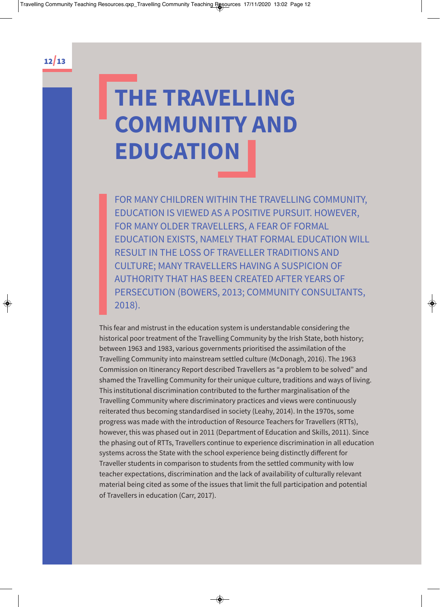## **THE TRAVELLING COMMUNITY AND EDUCATION**

FOR MANY CHILDREN WITHIN THE TRAVELLING COMMUNITY, EDUCATION IS VIEWED AS A POSITIVE PURSUIT. HOWEVER, FOR MANY OLDER TRAVELLERS, A FEAR OF FORMAL EDUCATION EXISTS, NAMELY THAT FORMAL EDUCATION WILL RESULT IN THE LOSS OF TRAVELLER TRADITIONS AND CULTURE; MANY TRAVELLERS HAVING A SUSPICION OF AUTHORITY THAT HAS BEEN CREATED AFTER YEARS OF PERSECUTION (BOWERS, 2013; COMMUNITY CONSULTANTS, 2018).

This fear and mistrust in the education system is understandable considering the historical poor treatment of the Travelling Community by the Irish State, both history; between 1963 and 1983, various governments prioritised the assimilation of the Travelling Community into mainstream settled culture (McDonagh, 2016). The 1963 Commission on Itinerancy Report described Travellers as "a problem to be solved" and shamed the Travelling Community for their unique culture, traditions and ways of living. This institutional discrimination contributed to the further marginalisation of the Travelling Community where discriminatory practices and views were continuously reiterated thus becoming standardised in society (Leahy, 2014). In the 1970s, some progress was made with the introduction of Resource Teachers for Travellers (RTTs), however, this was phased out in 2011 (Department of Education and Skills, 2011). Since the phasing out of RTTs, Travellers continue to experience discrimination in all education systems across the State with the school experience being distinctly different for Traveller students in comparison to students from the settled community with low teacher expectations, discrimination and the lack of availability of culturally relevant material being cited as some of the issues that limit the full participation and potential of Travellers in education (Carr, 2017).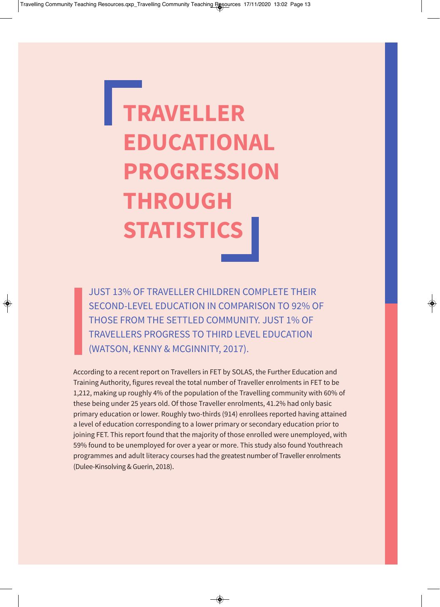## **TRAVELLER EDUCATIONAL PROGRESSION THROUGH STATISTICS**

JUST 13% OF TRAVELLER CHILDREN COMPLETE THEIR SECOND-LEVEL EDUCATION IN COMPARISON TO 92% OF THOSE FROM THE SETTLED COMMUNITY. JUST 1% OF TRAVELLERS PROGRESS TO THIRD LEVEL EDUCATION (WATSON, KENNY & MCGINNITY, 2017).

According to a recent report on Travellers in FET by SOLAS, the Further Education and Training Authority, figures reveal the total number of Traveller enrolments in FET to be 1,212, making up roughly 4% of the population of the Travelling community with 60% of these being under 25 years old. Of those Traveller enrolments, 41.2% had only basic primary education or lower. Roughly two-thirds (914) enrollees reported having attained a level of education corresponding to a lower primary or secondary education prior to joining FET. This report found that the majority of those enrolled were unemployed, with 59% found to be unemployed for over a year or more. This study also found Youthreach programmes and adult literacy courses had the greatest number of Traveller enrolments (Dulee-Kinsolving & Guerin, 2018).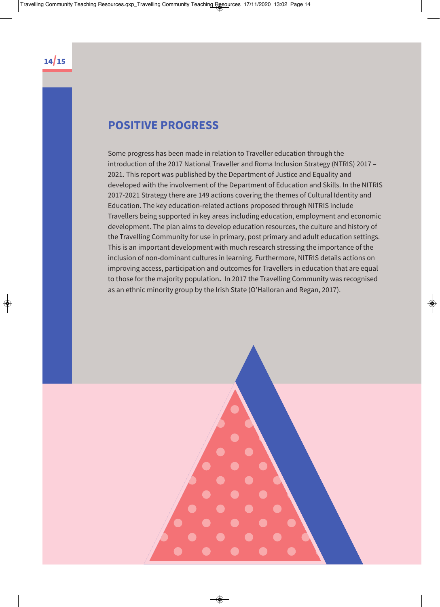#### **POSITIVE PROGRESS**

Some progress has been made in relation to Traveller education through the introduction of the 2017 National Traveller and Roma Inclusion Strategy (NTRIS) 2017 – 2021. This report was published by the Department of Justice and Equality and developed with the involvement of the Department of Education and Skills. In the NITRIS 2017-2021 Strategy there are 149 actions covering the themes of Cultural Identity and Education. The key education-related actions proposed through NITRIS include Travellers being supported in key areas including education, employment and economic development. The plan aims to develop education resources, the culture and history of the Travelling Community for use in primary, post primary and adult education settings. This is an important development with much research stressing the importance of the inclusion of non-dominant cultures in learning. Furthermore, NITRIS details actions on improving access, participation and outcomes for Travellers in education that are equal to those for the majority population**.** In 2017 the Travelling Community was recognised as an ethnic minority group by the Irish State (O'Halloran and Regan, 2017).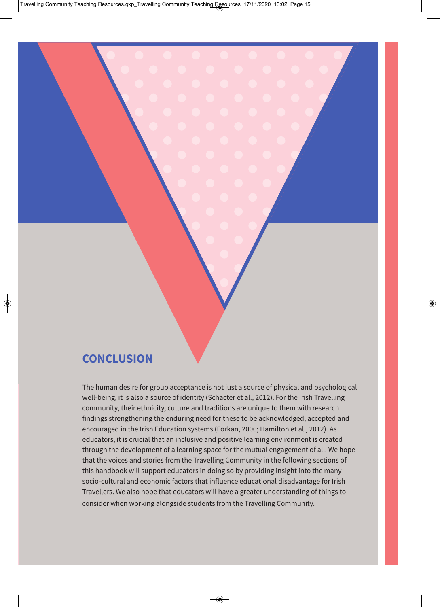#### **CONCLUSION**

The human desire for group acceptance is not just a source of physical and psychological well-being, it is also a source of identity (Schacter et al., 2012). For the Irish Travelling community, their ethnicity, culture and traditions are unique to them with research findings strengthening the enduring need for these to be acknowledged, accepted and encouraged in the Irish Education systems (Forkan, 2006; Hamilton et al., 2012). As educators, it is crucial that an inclusive and positive learning environment is created through the development of a learning space for the mutual engagement of all. We hope that the voices and stories from the Travelling Community in the following sections of this handbook will support educators in doing so by providing insight into the many socio-cultural and economic factors that influence educational disadvantage for Irish Travellers. We also hope that educators will have a greater understanding of things to consider when working alongside students from the Travelling Community.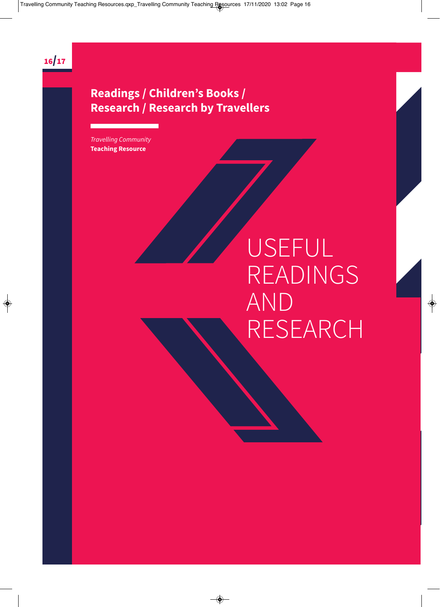

#### **Readings / Children's Books / Research / Research by Travellers**

Travelling Community **Teaching Resource** 

## USEFUL READINGS AND RESEARCH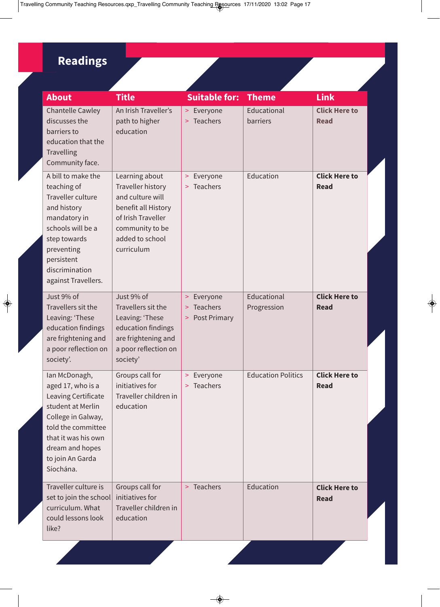#### **Readings**

| <b>About</b>                                                                                                                                                                                          | <b>Title</b>                                                                                                                                                    | <b>Suitable for:</b>                                      | <b>Theme</b>               | <b>Link</b>                         |
|-------------------------------------------------------------------------------------------------------------------------------------------------------------------------------------------------------|-----------------------------------------------------------------------------------------------------------------------------------------------------------------|-----------------------------------------------------------|----------------------------|-------------------------------------|
| <b>Chantelle Cawley</b><br>discusses the<br>barriers to<br>education that the<br>Travelling<br>Community face.                                                                                        | An Irish Traveller's<br>path to higher<br>education                                                                                                             | Everyone<br>$\geq$<br>Teachers<br>$\geq$                  | Educational<br>barriers    | <b>Click Here to</b><br><b>Read</b> |
| A bill to make the<br>teaching of<br>Traveller culture<br>and history<br>mandatory in<br>schools will be a<br>step towards<br>preventing<br>persistent<br>discrimination<br>against Travellers.       | Learning about<br><b>Traveller history</b><br>and culture will<br>benefit all History<br>of Irish Traveller<br>community to be<br>added to school<br>curriculum | > Everyone<br>Teachers<br>$\geq$                          | Education                  | <b>Click Here to</b><br><b>Read</b> |
| Just 9% of<br>Travellers sit the<br>Leaving: 'These<br>education findings<br>are frightening and<br>a poor reflection on<br>society'.                                                                 | Just 9% of<br>Travellers sit the<br>Leaving: 'These<br>education findings<br>are frightening and<br>a poor reflection on<br>society'                            | Everyone<br>$\, >$<br>Teachers<br>$\,>$<br>> Post Primary | Educational<br>Progression | <b>Click Here to</b><br><b>Read</b> |
| Ian McDonagh,<br>aged 17, who is a<br>Leaving Certificate<br>student at Merlin<br>College in Galway,<br>told the committee<br>that it was his own<br>dream and hopes<br>to join An Garda<br>Síochána. | Groups call for<br>initiatives for<br>Traveller children in<br>education                                                                                        | > Everyone<br>> Teachers                                  | <b>Education Politics</b>  | <b>Click Here to</b><br><b>Read</b> |
| Traveller culture is<br>set to join the school<br>curriculum. What<br>could lessons look<br>like?                                                                                                     | Groups call for<br>initiatives for<br>Traveller children in<br>education                                                                                        | > Teachers                                                | Education                  | <b>Click Here to</b><br><b>Read</b> |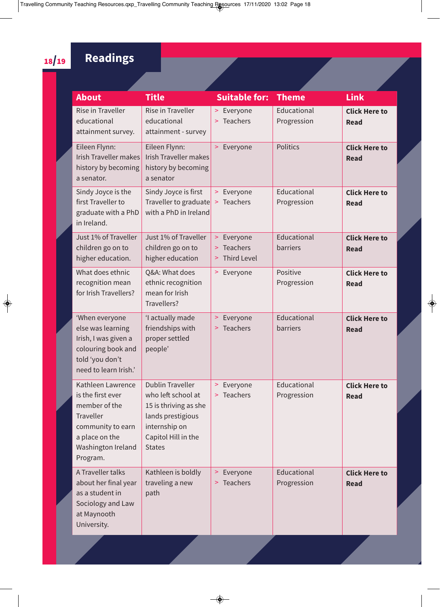#### **Readings**

| About                                                                                                                                         | <b>Title</b>                                                                                                                                         | <b>Suitable for:</b>                                                          | <b>Theme</b>               | <b>Link</b>                         |
|-----------------------------------------------------------------------------------------------------------------------------------------------|------------------------------------------------------------------------------------------------------------------------------------------------------|-------------------------------------------------------------------------------|----------------------------|-------------------------------------|
| <b>Rise in Traveller</b><br>educational<br>attainment survey.                                                                                 | Rise in Traveller<br>educational<br>attainment - survey                                                                                              | > Everyone<br>Teachers<br>$\geq$                                              | Educational<br>Progression | <b>Click Here to</b><br><b>Read</b> |
| Eileen Flynn:<br><b>Irish Traveller makes</b><br>history by becoming<br>a senator.                                                            | Eileen Flynn:<br><b>Irish Traveller makes</b><br>history by becoming<br>a senator                                                                    | Everyone<br>$\geq$                                                            | <b>Politics</b>            | <b>Click Here to</b><br><b>Read</b> |
| Sindy Joyce is the<br>first Traveller to<br>graduate with a PhD<br>in Ireland.                                                                | Sindy Joyce is first<br>Traveller to graduate<br>with a PhD in Ireland                                                                               | > Everyone<br>Teachers<br>$\,>$                                               | Educational<br>Progression | <b>Click Here to</b><br><b>Read</b> |
| Just 1% of Traveller<br>children go on to<br>higher education.                                                                                | Just 1% of Traveller<br>children go on to<br>higher education                                                                                        | Everyone<br>$\geq$<br><b>Teachers</b><br>$\, > \,$<br><b>Third Level</b><br>> | Educational<br>barriers    | <b>Click Here to</b><br><b>Read</b> |
| What does ethnic<br>recognition mean<br>for Irish Travellers?                                                                                 | Q&A: What does<br>ethnic recognition<br>mean for Irish<br>Travellers?                                                                                | Everyone<br>>                                                                 | Positive<br>Progression    | <b>Click Here to</b><br><b>Read</b> |
| 'When everyone<br>else was learning<br>Irish, I was given a<br>colouring book and<br>told 'you don't<br>need to learn Irish.'                 | 'I actually made<br>friendships with<br>proper settled<br>people'                                                                                    | Everyone<br>$\,>$<br>Teachers<br>$\geq$                                       | Educational<br>barriers    | <b>Click Here to</b><br><b>Read</b> |
| Kathleen Lawrence<br>is the first ever<br>member of the<br>Traveller<br>community to earn<br>a place on the<br>Washington Ireland<br>Program. | <b>Dublin Traveller</b><br>who left school at<br>15 is thriving as she<br>lands prestigious<br>internship on<br>Capitol Hill in the<br><b>States</b> | > Everyone<br>> Teachers                                                      | Educational<br>Progression | <b>Click Here to</b><br><b>Read</b> |
| A Traveller talks<br>about her final year<br>as a student in<br>Sociology and Law<br>at Maynooth<br>University.                               | Kathleen is boldly<br>traveling a new<br>path                                                                                                        | Everyone<br>$\geq$<br><b>Teachers</b><br>>                                    | Educational<br>Progression | <b>Click Here to</b><br><b>Read</b> |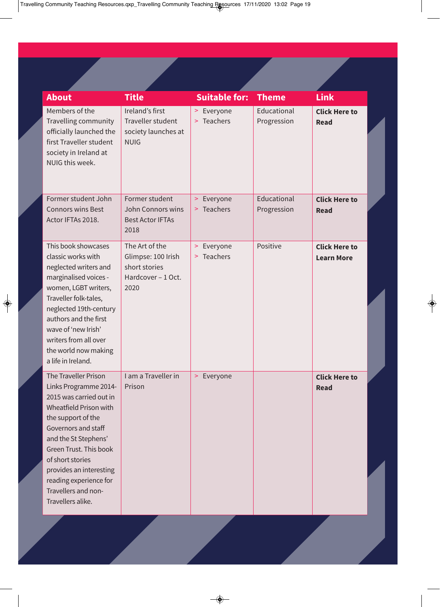| <b>About</b>                                                                                                                                                                                                                                                                                                                  | <b>Title</b>                                                                        | <b>Suitable for:</b>                            | <b>Theme</b>               | <b>Link</b>                               |
|-------------------------------------------------------------------------------------------------------------------------------------------------------------------------------------------------------------------------------------------------------------------------------------------------------------------------------|-------------------------------------------------------------------------------------|-------------------------------------------------|----------------------------|-------------------------------------------|
| Members of the<br>Travelling community<br>officially launched the<br>first Traveller student<br>society in Ireland at<br>NUIG this week.                                                                                                                                                                                      | Ireland's first<br>Traveller student<br>society launches at<br><b>NUIG</b>          | Everyone<br>$\geq$<br>> Teachers                | Educational<br>Progression | <b>Click Here to</b><br><b>Read</b>       |
| Former student John<br><b>Connors wins Best</b><br>Actor IFTAs 2018.                                                                                                                                                                                                                                                          | Former student<br>John Connors wins<br><b>Best Actor IFTAs</b><br>2018              | Everyone<br>$\geq$<br><b>Teachers</b><br>$\geq$ | Educational<br>Progression | <b>Click Here to</b><br><b>Read</b>       |
| This book showcases<br>classic works with<br>neglected writers and<br>marginalised voices -<br>women, LGBT writers,<br>Traveller folk-tales,<br>neglected 19th-century<br>authors and the first<br>wave of 'new Irish'<br>writers from all over<br>the world now making<br>a life in Ireland.                                 | The Art of the<br>Glimpse: 100 Irish<br>short stories<br>Hardcover - 1 Oct.<br>2020 | Everyone<br>$\geq$<br><b>Teachers</b><br>$\geq$ | Positive                   | <b>Click Here to</b><br><b>Learn More</b> |
| <b>The Traveller Prison</b><br>Links Programme 2014-<br>2015 was carried out in<br>Wheatfield Prison with<br>the support of the<br>Governors and staff<br>and the St Stephens'<br>Green Trust. This book<br>of short stories<br>provides an interesting<br>reading experience for<br>Travellers and non-<br>Travellers alike. | I am a Traveller in<br>Prison                                                       | Everyone<br>$\geq$                              |                            | <b>Click Here to</b><br><b>Read</b>       |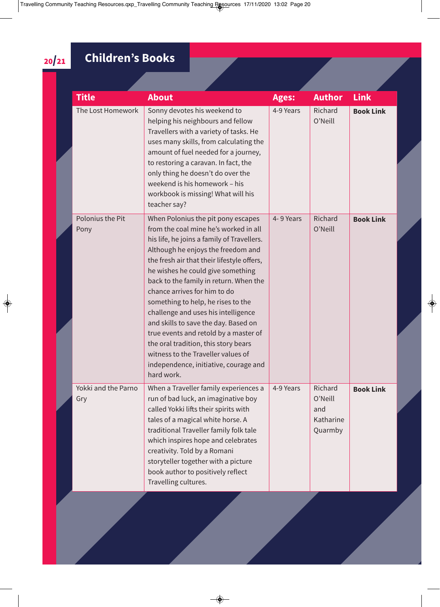#### **Children's Books**

| <b>Title</b>               | <b>About</b>                                                                                                                                                                                                                                                                                                                                                                                                                                                                                                                                                                                                                    | <b>Ages:</b> | <b>Author</b>                                     | <b>Link</b>      |
|----------------------------|---------------------------------------------------------------------------------------------------------------------------------------------------------------------------------------------------------------------------------------------------------------------------------------------------------------------------------------------------------------------------------------------------------------------------------------------------------------------------------------------------------------------------------------------------------------------------------------------------------------------------------|--------------|---------------------------------------------------|------------------|
| The Lost Homework          | Sonny devotes his weekend to<br>helping his neighbours and fellow<br>Travellers with a variety of tasks. He<br>uses many skills, from calculating the<br>amount of fuel needed for a journey,<br>to restoring a caravan. In fact, the<br>only thing he doesn't do over the<br>weekend is his homework - his<br>workbook is missing! What will his<br>teacher say?                                                                                                                                                                                                                                                               | 4-9 Years    | Richard<br>O'Neill                                | <b>Book Link</b> |
| Polonius the Pit<br>Pony   | When Polonius the pit pony escapes<br>from the coal mine he's worked in all<br>his life, he joins a family of Travellers.<br>Although he enjoys the freedom and<br>the fresh air that their lifestyle offers,<br>he wishes he could give something<br>back to the family in return. When the<br>chance arrives for him to do<br>something to help, he rises to the<br>challenge and uses his intelligence<br>and skills to save the day. Based on<br>true events and retold by a master of<br>the oral tradition, this story bears<br>witness to the Traveller values of<br>independence, initiative, courage and<br>hard work. | 4-9 Years    | Richard<br>O'Neill                                | <b>Book Link</b> |
| Yokki and the Parno<br>Gry | When a Traveller family experiences a<br>run of bad luck, an imaginative boy<br>called Yokki lifts their spirits with<br>tales of a magical white horse. A<br>traditional Traveller family folk tale<br>which inspires hope and celebrates<br>creativity. Told by a Romani<br>storyteller together with a picture<br>book author to positively reflect<br>Travelling cultures.                                                                                                                                                                                                                                                  | 4-9 Years    | Richard<br>O'Neill<br>and<br>Katharine<br>Quarmby | <b>Book Link</b> |

20/21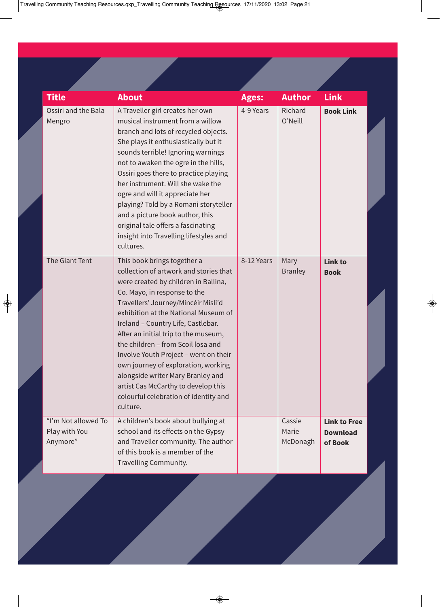| <b>Title</b>                                     | <b>About</b>                                                                                                                                                                                                                                                                                                                                                                                                                                                                                                                                                      | <b>Ages:</b> | <b>Author</b>               | Link                                              |
|--------------------------------------------------|-------------------------------------------------------------------------------------------------------------------------------------------------------------------------------------------------------------------------------------------------------------------------------------------------------------------------------------------------------------------------------------------------------------------------------------------------------------------------------------------------------------------------------------------------------------------|--------------|-----------------------------|---------------------------------------------------|
| Ossiri and the Bala<br>Mengro                    | A Traveller girl creates her own<br>musical instrument from a willow<br>branch and lots of recycled objects.<br>She plays it enthusiastically but it<br>sounds terrible! Ignoring warnings<br>not to awaken the ogre in the hills,<br>Ossiri goes there to practice playing<br>her instrument. Will she wake the<br>ogre and will it appreciate her<br>playing? Told by a Romani storyteller<br>and a picture book author, this<br>original tale offers a fascinating<br>insight into Travelling lifestyles and<br>cultures.                                      | 4-9 Years    | Richard<br>O'Neill          | <b>Book Link</b>                                  |
| The Giant Tent                                   | This book brings together a<br>collection of artwork and stories that<br>were created by children in Ballina,<br>Co. Mayo, in response to the<br>Travellers' Journey/Mincéir Misli'd<br>exhibition at the National Museum of<br>Ireland - Country Life, Castlebar.<br>After an initial trip to the museum,<br>the children - from Scoil losa and<br>Involve Youth Project - went on their<br>own journey of exploration, working<br>alongside writer Mary Branley and<br>artist Cas McCarthy to develop this<br>colourful celebration of identity and<br>culture. | 8-12 Years   | Mary<br><b>Branley</b>      | Link to<br><b>Book</b>                            |
| "I'm Not allowed To<br>Play with You<br>Anymore" | A children's book about bullying at<br>school and its effects on the Gypsy<br>and Traveller community. The author<br>of this book is a member of the<br>Travelling Community.                                                                                                                                                                                                                                                                                                                                                                                     |              | Cassie<br>Marie<br>McDonagh | <b>Link to Free</b><br><b>Download</b><br>of Book |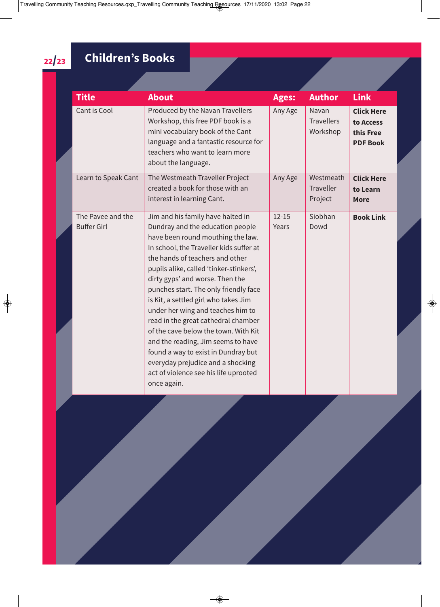#### **Children's Books**

| <b>Title</b>                            | <b>About</b>                                                                                                                                                                                                                                                                                                                                                                                                                                                                                                                                                                                                                                          | <b>Ages:</b>       | <b>Author</b>                            | <b>Link</b>                                                    |  |
|-----------------------------------------|-------------------------------------------------------------------------------------------------------------------------------------------------------------------------------------------------------------------------------------------------------------------------------------------------------------------------------------------------------------------------------------------------------------------------------------------------------------------------------------------------------------------------------------------------------------------------------------------------------------------------------------------------------|--------------------|------------------------------------------|----------------------------------------------------------------|--|
| Cant is Cool                            | Produced by the Navan Travellers<br>Workshop, this free PDF book is a<br>mini vocabulary book of the Cant<br>language and a fantastic resource for<br>teachers who want to learn more<br>about the language.                                                                                                                                                                                                                                                                                                                                                                                                                                          | Any Age            | Navan<br><b>Travellers</b><br>Workshop   | <b>Click Here</b><br>to Access<br>this Free<br><b>PDF Book</b> |  |
| Learn to Speak Cant                     | The Westmeath Traveller Project<br>created a book for those with an<br>interest in learning Cant.                                                                                                                                                                                                                                                                                                                                                                                                                                                                                                                                                     | Any Age            | Westmeath<br><b>Traveller</b><br>Project | <b>Click Here</b><br>to Learn<br><b>More</b>                   |  |
| The Pavee and the<br><b>Buffer Girl</b> | Jim and his family have halted in<br>Dundray and the education people<br>have been round mouthing the law.<br>In school, the Traveller kids suffer at<br>the hands of teachers and other<br>pupils alike, called 'tinker-stinkers',<br>dirty gyps' and worse. Then the<br>punches start. The only friendly face<br>is Kit, a settled girl who takes Jim<br>under her wing and teaches him to<br>read in the great cathedral chamber<br>of the cave below the town. With Kit<br>and the reading, Jim seems to have<br>found a way to exist in Dundray but<br>everyday prejudice and a shocking<br>act of violence see his life uprooted<br>once again. | $12 - 15$<br>Years | Siobhan<br>Dowd                          | <b>Book Link</b>                                               |  |

22/23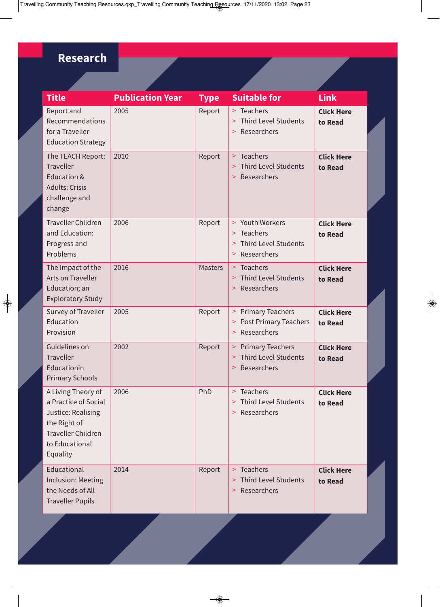#### **Research**

| <b>Title</b>                                                                                                                                | <b>Publication Year</b> | <b>Type</b>    | <b>Suitable for</b>                                                                             | <b>Link</b>                  |
|---------------------------------------------------------------------------------------------------------------------------------------------|-------------------------|----------------|-------------------------------------------------------------------------------------------------|------------------------------|
| Report and<br>Recommendations<br>for a Traveller<br><b>Education Strategy</b>                                                               | 2005                    | Report         | > Teachers<br>> Third Level Students<br>Researchers<br>$\geq$                                   | <b>Click Here</b><br>to Read |
| The TEACH Report:<br><b>Traveller</b><br>Education &<br><b>Adults: Crisis</b><br>challenge and<br>change                                    | 2010                    | Report         | > Teachers<br><b>Third Level Students</b><br>Researchers<br>$\geq$                              | <b>Click Here</b><br>to Read |
| <b>Traveller Children</b><br>and Education:<br>Progress and<br>Problems                                                                     | 2006                    | Report         | > Youth Workers<br>> Teachers<br><b>Third Level Students</b><br>$\geq$<br>Researchers<br>$\geq$ | <b>Click Here</b><br>to Read |
| The Impact of the<br>Arts on Traveller<br>Education; an<br><b>Exploratory Study</b>                                                         | 2016                    | <b>Masters</b> | > Teachers<br>> Third Level Students<br>Researchers<br>$\geq$                                   | <b>Click Here</b><br>to Read |
| Survey of Traveller<br>Education<br>Provision                                                                                               | 2005                    | Report         | > Primary Teachers<br>> Post Primary Teachers<br>Researchers<br>$\geq$                          | <b>Click Here</b><br>to Read |
| Guidelines on<br><b>Traveller</b><br>Educationin<br><b>Primary Schools</b>                                                                  | 2002                    | Report         | > Primary Teachers<br>> Third Level Students<br>Researchers<br>$\geq$                           | <b>Click Here</b><br>to Read |
| A Living Theory of<br>a Practice of Social<br>Justice: Realising<br>the Right of<br><b>Traveller Children</b><br>to Educational<br>Equality | 2006                    | PhD            | > Teachers<br>> Third Level Students<br>> Researchers                                           | <b>Click Here</b><br>to Read |
| Educational<br><b>Inclusion: Meeting</b><br>the Needs of All<br><b>Traveller Pupils</b>                                                     | 2014                    | Report         | > Teachers<br><b>Third Level Students</b><br>$\geq$<br>Researchers<br>$\geq$                    | <b>Click Here</b><br>to Read |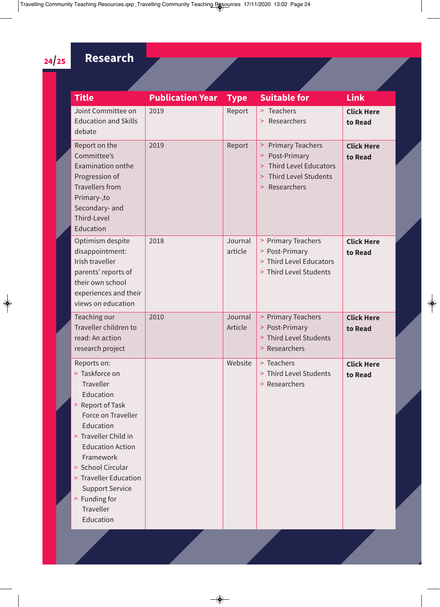#### 24/25 **Research**

| <b>Title</b>                                                                                                                                                                                                                                                                                             | <b>Publication Year</b> | <b>Type</b>        | <b>Suitable for</b>                                                                                                                                                   | <b>Link</b>                  |
|----------------------------------------------------------------------------------------------------------------------------------------------------------------------------------------------------------------------------------------------------------------------------------------------------------|-------------------------|--------------------|-----------------------------------------------------------------------------------------------------------------------------------------------------------------------|------------------------------|
| Joint Committee on<br><b>Education and Skills</b><br>debate                                                                                                                                                                                                                                              | 2019                    | Report             | > Teachers<br>> Researchers                                                                                                                                           | <b>Click Here</b><br>to Read |
| Report on the<br>Committee's<br><b>Examination onthe</b><br>Progression of<br><b>Travellers from</b><br>Primary-, to<br>Secondary- and<br>Third-Level<br>Education                                                                                                                                       | 2019                    | Report             | <b>Primary Teachers</b><br>$\,>$<br>Post-Primary<br>$\,>$<br><b>Third Level Educators</b><br>$\geq$<br><b>Third Level Students</b><br>$\geq$<br>Researchers<br>$\geq$ | <b>Click Here</b><br>to Read |
| Optimism despite<br>disappointment:<br>Irish traveller<br>parents' reports of<br>their own school<br>experiences and their<br>views on education                                                                                                                                                         | 2018                    | Journal<br>article | > Primary Teachers<br>> Post-Primary<br>> Third Level Educators<br>> Third Level Students                                                                             | <b>Click Here</b><br>to Read |
| Teaching our<br>Traveller children to<br>read: An action<br>research project                                                                                                                                                                                                                             | 2010                    | Journal<br>Article | > Primary Teachers<br>> Post-Primary<br>> Third Level Students<br>> Researchers                                                                                       | <b>Click Here</b><br>to Read |
| Reports on:<br>> Taskforce on<br>Traveller<br>Education<br>> Report of Task<br>Force on Traveller<br>Education<br>> Traveller Child in<br><b>Education Action</b><br>Framework<br>> School Circular<br>> Traveller Education<br><b>Support Service</b><br>> Funding for<br><b>Traveller</b><br>Education |                         | Website            | > Teachers<br>> Third Level Students<br>> Researchers                                                                                                                 | <b>Click Here</b><br>to Read |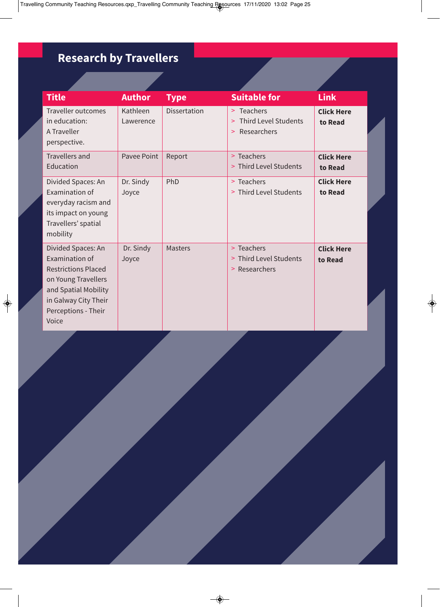#### **Research by Travellers**

| <b>Title</b>                                                                                                                                                              | <b>Author</b>         | <b>Type</b>         | <b>Suitable for</b>                                                  | <b>Link</b>                  |  |
|---------------------------------------------------------------------------------------------------------------------------------------------------------------------------|-----------------------|---------------------|----------------------------------------------------------------------|------------------------------|--|
| <b>Traveller outcomes</b><br>in education:<br>A Traveller<br>perspective.                                                                                                 | Kathleen<br>Lawerence | <b>Dissertation</b> | > Teachers<br><b>Third Level Students</b><br>$\geq$<br>> Researchers | <b>Click Here</b><br>to Read |  |
| <b>Travellers and</b><br>Education                                                                                                                                        | Pavee Point           | Report              | > Teachers<br>> Third Level Students                                 | <b>Click Here</b><br>to Read |  |
| Divided Spaces: An<br>Examination of<br>everyday racism and<br>its impact on young<br>Travellers' spatial<br>mobility                                                     | Dr. Sindy<br>Joyce    | PhD                 | > Teachers<br>> Third Level Students                                 | <b>Click Here</b><br>to Read |  |
| Divided Spaces: An<br>Examination of<br><b>Restrictions Placed</b><br>on Young Travellers<br>and Spatial Mobility<br>in Galway City Their<br>Perceptions - Their<br>Voice | Dr. Sindy<br>Joyce    | <b>Masters</b>      | > Teachers<br>> Third Level Students<br>> Researchers                | <b>Click Here</b><br>to Read |  |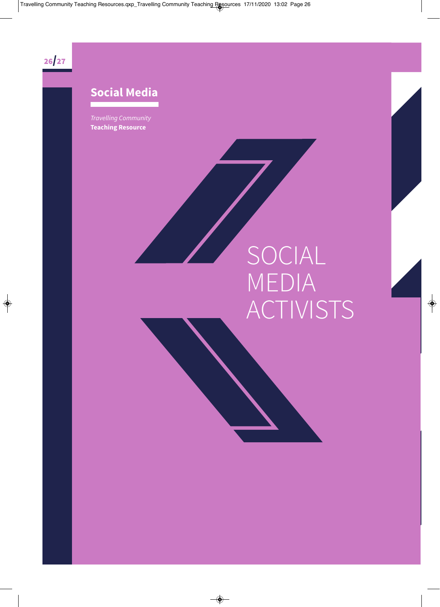

#### **Social Media**

Travelling Community **Teaching Resource** 

## SOCIAL MEDIA ACTIVISTS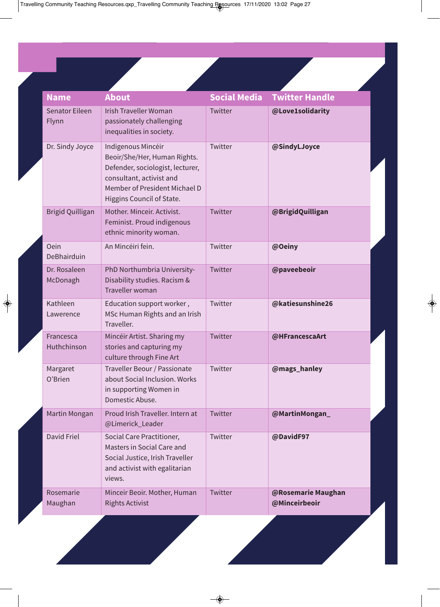| <b>Name</b>                    | <b>About</b>                                                                                                                                                                     | <b>Social Media</b> | <b>Twitter Handle</b>               |
|--------------------------------|----------------------------------------------------------------------------------------------------------------------------------------------------------------------------------|---------------------|-------------------------------------|
| <b>Senator Eileen</b><br>Flynn | <b>Irish Traveller Woman</b><br>passionately challenging<br>inequalities in society.                                                                                             | Twitter             | @Love1solidarity                    |
| Dr. Sindy Joyce                | Indigenous Mincéir<br>Beoir/She/Her, Human Rights.<br>Defender, sociologist, lecturer,<br>consultant, activist and<br>Member of President Michael D<br>Higgins Council of State. | Twitter             | @SindyLJoyce                        |
| <b>Brigid Quilligan</b>        | Mother. Minceir. Activist.<br>Feminist. Proud indigenous<br>ethnic minority woman.                                                                                               | Twitter             | @BrigidQuilligan                    |
| Oein<br>DeBhairduin            | An Mincéiri fein.                                                                                                                                                                | Twitter             | @Oeiny                              |
| Dr. Rosaleen<br>McDonagh       | PhD Northumbria University-<br>Disability studies. Racism &<br>Traveller woman                                                                                                   | Twitter             | @paveebeoir                         |
| Kathleen<br>Lawerence          | Education support worker,<br>MSc Human Rights and an Irish<br>Traveller.                                                                                                         | Twitter             | @katiesunshine26                    |
| Francesca<br>Huthchinson       | Mincéir Artist. Sharing my<br>stories and capturing my<br>culture through Fine Art                                                                                               | Twitter             | @HFrancescaArt                      |
| Margaret<br>O'Brien            | Traveller Beour / Passionate<br>about Social Inclusion. Works<br>in supporting Women in<br>Domestic Abuse.                                                                       | Twitter             | @mags_hanley                        |
| Martin Mongan                  | Proud Irish Traveller. Intern at<br>@Limerick_Leader                                                                                                                             | Twitter             | @MartinMongan_                      |
| David Friel                    | Social Care Practitioner,<br>Masters in Social Care and<br>Social Justice, Irish Traveller<br>and activist with egalitarian<br>views.                                            | Twitter             | @DavidF97                           |
| Rosemarie<br>Maughan           | Minceir Beoir. Mother, Human<br><b>Rights Activist</b>                                                                                                                           | Twitter             | @Rosemarie Maughan<br>@Minceirbeoir |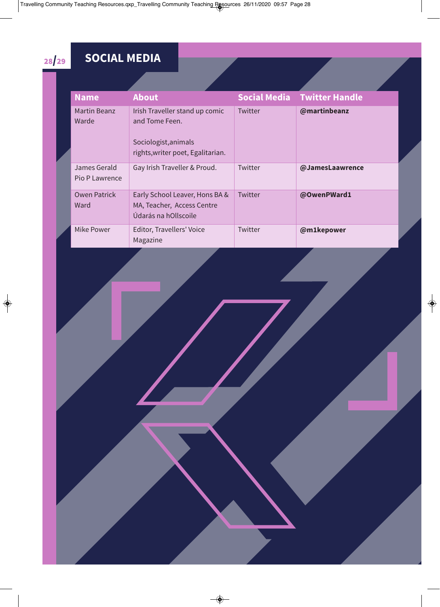#### 28/29 **SOCIAL MEDIA**

| <b>Name</b>                    | <b>About</b>                                                                                                  |         | <b>Social Media Twitter Handle</b> |
|--------------------------------|---------------------------------------------------------------------------------------------------------------|---------|------------------------------------|
| Martin Beanz<br>Warde          | Irish Traveller stand up comic<br>and Tome Feen.<br>Sociologist, animals<br>rights, writer poet, Egalitarian. | Twitter | @martinbeanz                       |
| James Gerald<br>Pio P Lawrence | Gay Irish Traveller & Proud.                                                                                  | Twitter | @JamesLaawrence                    |
| <b>Owen Patrick</b><br>Ward    | Early School Leaver, Hons BA &<br>MA, Teacher, Access Centre<br>Údarás na hOllscoile                          | Twitter | @OwenPWard1                        |
| Mike Power                     | Editor, Travellers' Voice<br>Magazine                                                                         | Twitter | @m1kepower                         |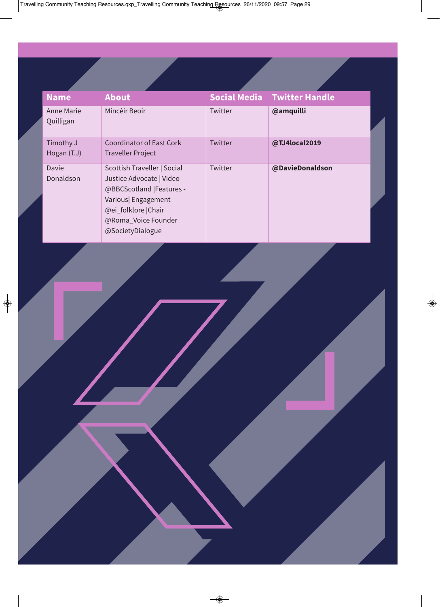| <b>Name</b>                    | <b>About</b>                                                                                                                                                                |         | <b>Social Media Twitter Handle</b> |
|--------------------------------|-----------------------------------------------------------------------------------------------------------------------------------------------------------------------------|---------|------------------------------------|
| <b>Anne Marie</b><br>Quilligan | Mincéir Beoir                                                                                                                                                               | Twitter | @amquilli                          |
| Timothy J<br>Hogan (T.J)       | <b>Coordinator of East Cork</b><br><b>Traveller Project</b>                                                                                                                 | Twitter | @TJ4local2019                      |
| Davie<br>Donaldson             | Scottish Traveller   Social<br>Justice Advocate   Video<br>@BBCScotland  Features -<br>Various  Engagement<br>@ei_folklore Chair<br>@Roma_Voice Founder<br>@SocietyDialogue | Twitter | @DavieDonaldson                    |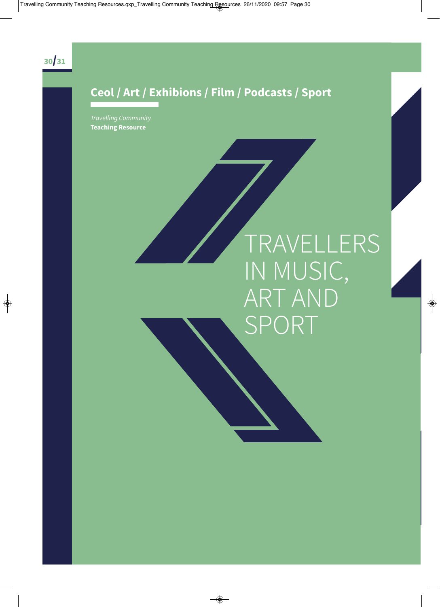#### **Ceol / Art / Exhibions / Film / Podcasts / Sport**

Travelling Community **Teaching Resource** 

### TRAVELLERS IN MUSIC, ART AND SPORT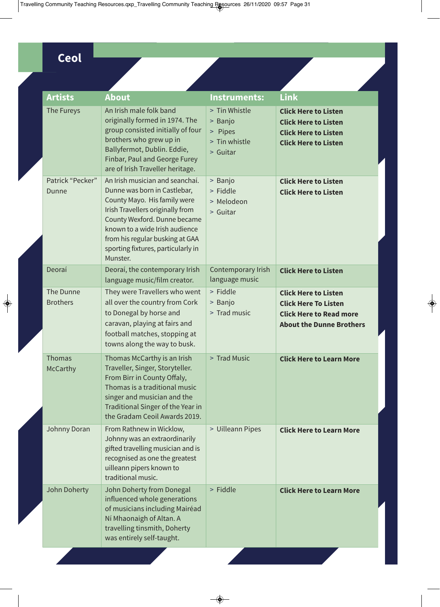#### **Ceol**

| <b>Artists</b>               | <b>About</b>                                                                                                                                                                                                                                                                               | <b>Instruments:</b>                                              | <b>Link</b>                                                                                                                     |
|------------------------------|--------------------------------------------------------------------------------------------------------------------------------------------------------------------------------------------------------------------------------------------------------------------------------------------|------------------------------------------------------------------|---------------------------------------------------------------------------------------------------------------------------------|
| The Fureys                   | An Irish male folk band<br>originally formed in 1974. The<br>group consisted initially of four<br>brothers who grew up in<br>Ballyfermot, Dublin. Eddie,<br>Finbar, Paul and George Furey<br>are of Irish Traveller heritage.                                                              | > Tin Whistle<br>> Banjo<br>> Pipes<br>> Tin whistle<br>> Guitar | <b>Click Here to Listen</b><br><b>Click Here to Listen</b><br><b>Click Here to Listen</b><br><b>Click Here to Listen</b>        |
| Patrick "Pecker"<br>Dunne    | An Irish musician and seanchaí.<br>Dunne was born in Castlebar,<br>County Mayo. His family were<br>Irish Travellers originally from<br>County Wexford. Dunne became<br>known to a wide Irish audience<br>from his regular busking at GAA<br>sporting fixtures, particularly in<br>Munster. | > Banjo<br>> Fiddle<br>> Melodeon<br>> Guitar                    | <b>Click Here to Listen</b><br><b>Click Here to Listen</b>                                                                      |
| Deoraí                       | Deoraí, the contemporary Irish<br>language music/film creator.                                                                                                                                                                                                                             | Contemporary Irish<br>language music                             | <b>Click Here to Listen</b>                                                                                                     |
| The Dunne<br><b>Brothers</b> | They were Travellers who went<br>all over the country from Cork<br>to Donegal by horse and<br>caravan, playing at fairs and<br>football matches, stopping at<br>towns along the way to busk.                                                                                               | > Fiddle<br>> Banjo<br>> Trad music                              | <b>Click Here to Listen</b><br><b>Click Here To Listen</b><br><b>Click Here to Read more</b><br><b>About the Dunne Brothers</b> |
| Thomas<br>McCarthy           | Thomas McCarthy is an Irish<br>Traveller, Singer, Storyteller.<br>From Birr in County Offaly,<br>Thomas is a traditional music<br>singer and musician and the<br>Traditional Singer of the Year in<br>the Gradam Ceoil Awards 2019.                                                        | > Trad Music                                                     | <b>Click Here to Learn More</b>                                                                                                 |
| Johnny Doran                 | From Rathnew in Wicklow,<br>Johnny was an extraordinarily<br>gifted travelling musician and is<br>recognised as one the greatest<br>uilleann pipers known to<br>traditional music.                                                                                                         | > Uilleann Pipes                                                 | <b>Click Here to Learn More</b>                                                                                                 |
| John Doherty                 | John Doherty from Donegal<br>influenced whole generations<br>of musicians including Mairéad<br>Ní Mhaonaigh of Altan. A<br>travelling tinsmith, Doherty<br>was entirely self-taught.                                                                                                       | > Fiddle                                                         | <b>Click Here to Learn More</b>                                                                                                 |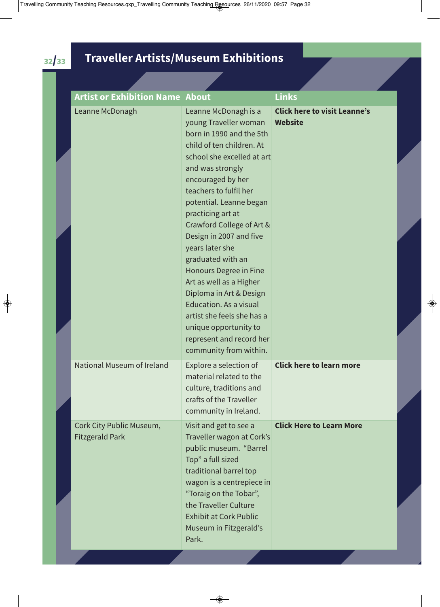#### 32/33 **Traveller Artists/Museum Exhibitions**

| <b>Artist or Exhibition Name About</b>             |                                                                                                                                                                                                                                                                                                                                                                                                                                                                                                                                                                                       | <b>Links</b>                                          |
|----------------------------------------------------|---------------------------------------------------------------------------------------------------------------------------------------------------------------------------------------------------------------------------------------------------------------------------------------------------------------------------------------------------------------------------------------------------------------------------------------------------------------------------------------------------------------------------------------------------------------------------------------|-------------------------------------------------------|
| Leanne McDonagh                                    | Leanne McDonagh is a<br>young Traveller woman<br>born in 1990 and the 5th<br>child of ten children. At<br>school she excelled at art<br>and was strongly<br>encouraged by her<br>teachers to fulfil her<br>potential. Leanne began<br>practicing art at<br>Crawford College of Art &<br>Design in 2007 and five<br>years later she<br>graduated with an<br>Honours Degree in Fine<br>Art as well as a Higher<br>Diploma in Art & Design<br><b>Education. As a visual</b><br>artist she feels she has a<br>unique opportunity to<br>represent and record her<br>community from within. | <b>Click here to visit Leanne's</b><br><b>Website</b> |
| National Museum of Ireland                         | Explore a selection of<br>material related to the<br>culture, traditions and<br>crafts of the Traveller<br>community in Ireland.                                                                                                                                                                                                                                                                                                                                                                                                                                                      | <b>Click here to learn more</b>                       |
| Cork City Public Museum,<br><b>Fitzgerald Park</b> | Visit and get to see a<br>Traveller wagon at Cork's<br>public museum. "Barrel<br>Top" a full sized<br>traditional barrel top<br>wagon is a centrepiece in<br>"Toraig on the Tobar",<br>the Traveller Culture<br><b>Exhibit at Cork Public</b><br>Museum in Fitzgerald's<br>Park.                                                                                                                                                                                                                                                                                                      | <b>Click Here to Learn More</b>                       |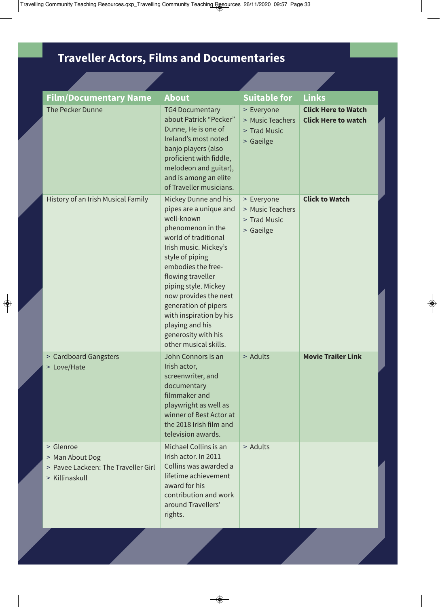#### **Traveller Actors, Films and Documentaries**

| The Pecker Dunne<br><b>Click Here to Watch</b><br><b>TG4 Documentary</b><br>> Everyone<br>about Patrick "Pecker"<br>> Music Teachers<br><b>Click Here to watch</b><br>Dunne, He is one of<br>> Trad Music<br>Ireland's most noted<br>> Gaeilge<br>banjo players (also<br>proficient with fiddle,<br>melodeon and guitar),<br>and is among an elite<br>of Traveller musicians.<br>History of an Irish Musical Family<br><b>Click to Watch</b><br>Mickey Dunne and his<br>> Everyone<br>pipes are a unique and<br>> Music Teachers<br>well-known<br>> Trad Music<br>phenomenon in the<br>> Gaeilge<br>world of traditional<br>Irish music. Mickey's<br>style of piping<br>embodies the free-<br>flowing traveller<br>piping style. Mickey<br>now provides the next<br>generation of pipers<br>with inspiration by his<br>playing and his<br>generosity with his<br>other musical skills.<br><b>Movie Trailer Link</b><br>> Adults<br>> Cardboard Gangsters<br>John Connors is an<br>Irish actor,<br>> Love/Hate<br>screenwriter, and<br>documentary<br>filmmaker and<br>playwright as well as<br>winner of Best Actor at<br>the 2018 Irish film and<br>television awards.<br>> Glenroe<br>Michael Collins is an<br>> Adults<br>Irish actor. In 2011<br>> Man About Dog<br>Collins was awarded a<br>> Pavee Lackeen: The Traveller Girl<br>lifetime achievement<br>> Killinaskull<br>award for his | <b>Film/Documentary Name</b> | <b>About</b>          | <b>Suitable for</b> | <b>Links</b> |
|-------------------------------------------------------------------------------------------------------------------------------------------------------------------------------------------------------------------------------------------------------------------------------------------------------------------------------------------------------------------------------------------------------------------------------------------------------------------------------------------------------------------------------------------------------------------------------------------------------------------------------------------------------------------------------------------------------------------------------------------------------------------------------------------------------------------------------------------------------------------------------------------------------------------------------------------------------------------------------------------------------------------------------------------------------------------------------------------------------------------------------------------------------------------------------------------------------------------------------------------------------------------------------------------------------------------------------------------------------------------------------------------------|------------------------------|-----------------------|---------------------|--------------|
|                                                                                                                                                                                                                                                                                                                                                                                                                                                                                                                                                                                                                                                                                                                                                                                                                                                                                                                                                                                                                                                                                                                                                                                                                                                                                                                                                                                                 |                              |                       |                     |              |
|                                                                                                                                                                                                                                                                                                                                                                                                                                                                                                                                                                                                                                                                                                                                                                                                                                                                                                                                                                                                                                                                                                                                                                                                                                                                                                                                                                                                 |                              |                       |                     |              |
|                                                                                                                                                                                                                                                                                                                                                                                                                                                                                                                                                                                                                                                                                                                                                                                                                                                                                                                                                                                                                                                                                                                                                                                                                                                                                                                                                                                                 |                              |                       |                     |              |
| around Travellers'<br>rights.                                                                                                                                                                                                                                                                                                                                                                                                                                                                                                                                                                                                                                                                                                                                                                                                                                                                                                                                                                                                                                                                                                                                                                                                                                                                                                                                                                   |                              | contribution and work |                     |              |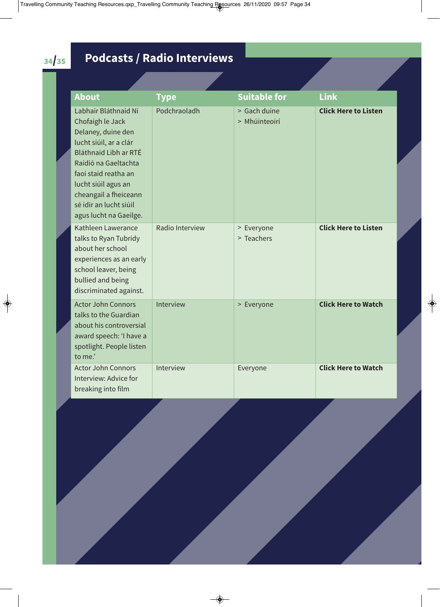#### 34/35 **Podcasts / Radio Interviews**

| <b>About</b>                                                                                                                                                                                                                                                          | <b>Type</b>     | <b>Suitable for</b>           | <b>Link</b>                 |
|-----------------------------------------------------------------------------------------------------------------------------------------------------------------------------------------------------------------------------------------------------------------------|-----------------|-------------------------------|-----------------------------|
| Labhair Bláthnaid Ní<br>Chofaigh le Jack<br>Delaney, duine den<br>lucht siúil, ar a clár<br>Bláthnaid Libh ar RTÉ<br>Raidió na Gaeltachta<br>faoi staid reatha an<br>lucht siúil agus an<br>cheangail a fheiceann<br>sé idir an lucht siúil<br>agus lucht na Gaeilge. | Podchraoladh    | > Gach duine<br>> Mhúinteoirí | <b>Click Here to Listen</b> |
| Kathleen Lawerance<br>talks to Ryan Tubridy<br>about her school<br>experiences as an early<br>school leaver, being<br>bullied and being<br>discriminated against.                                                                                                     | Radio Interview | > Everyone<br>> Teachers      | <b>Click Here to Listen</b> |
| <b>Actor John Connors</b><br>talks to the Guardian<br>about his controversial<br>award speech: 'I have a<br>spotlight. People listen<br>to me.'                                                                                                                       | Interview       | > Everyone                    | <b>Click Here to Watch</b>  |
| <b>Actor John Connors</b><br>Interview: Advice for<br>breaking into film                                                                                                                                                                                              | Interview       | Everyone                      | <b>Click Here to Watch</b>  |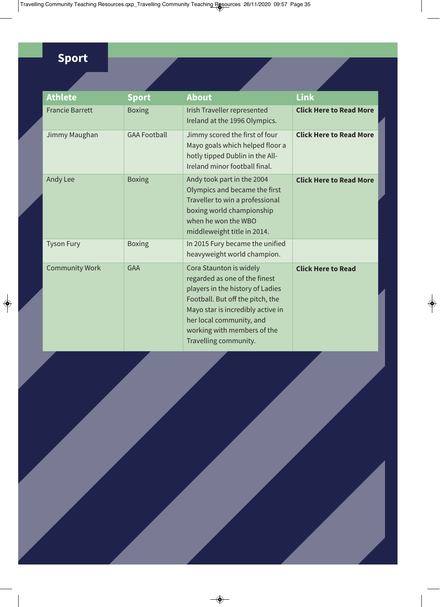#### **Sport**

| <b>Athlete</b>         | <b>Sport</b>        | <b>About</b>                                                                                                                                                                                                                                              | <b>Link</b>                    |
|------------------------|---------------------|-----------------------------------------------------------------------------------------------------------------------------------------------------------------------------------------------------------------------------------------------------------|--------------------------------|
| <b>Francie Barrett</b> | <b>Boxing</b>       | Irish Traveller represented<br>Ireland at the 1996 Olympics.                                                                                                                                                                                              | <b>Click Here to Read More</b> |
| Jimmy Maughan          | <b>GAA Football</b> | Jimmy scored the first of four<br>Mayo goals which helped floor a<br>hotly tipped Dublin in the All-<br>Ireland minor football final.                                                                                                                     | <b>Click Here to Read More</b> |
| Andy Lee               | <b>Boxing</b>       | Andy took part in the 2004<br>Olympics and became the first<br>Traveller to win a professional<br>boxing world championship<br>when he won the WBO<br>middleweight title in 2014.                                                                         | <b>Click Here to Read More</b> |
| <b>Tyson Fury</b>      | <b>Boxing</b>       | In 2015 Fury became the unified<br>heavyweight world champion.                                                                                                                                                                                            |                                |
| <b>Community Work</b>  | <b>GAA</b>          | Cora Staunton is widely<br>regarded as one of the finest<br>players in the history of Ladies<br>Football. But off the pitch, the<br>Mayo star is incredibly active in<br>her local community, and<br>working with members of the<br>Travelling community. | <b>Click Here to Read</b>      |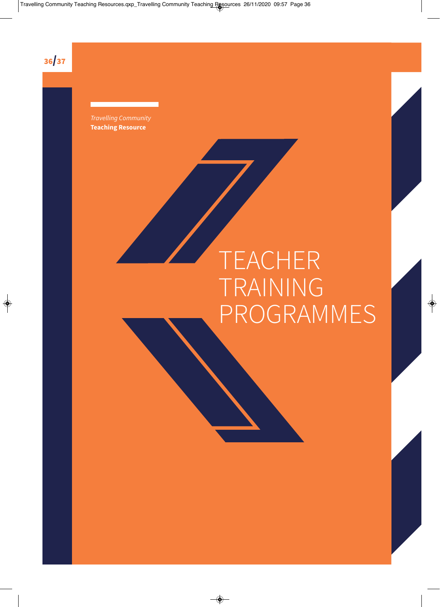36/37

Travelling Community **Teaching Resource** 

## TEACHER TRAINING PROGRAMMES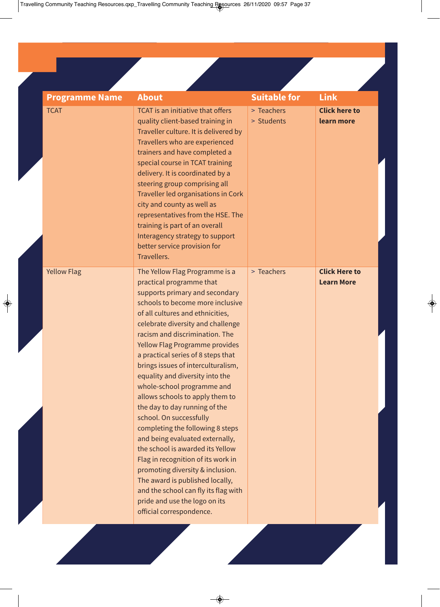| <b>Programme Name</b> | <b>About</b>                                                                                                                                                                                                                                                                                                                                                                                                                                                                                                                                                                                                                                                                                                                                                                                                                                                  | <b>Suitable for</b>      | <b>Link</b>                               |
|-----------------------|---------------------------------------------------------------------------------------------------------------------------------------------------------------------------------------------------------------------------------------------------------------------------------------------------------------------------------------------------------------------------------------------------------------------------------------------------------------------------------------------------------------------------------------------------------------------------------------------------------------------------------------------------------------------------------------------------------------------------------------------------------------------------------------------------------------------------------------------------------------|--------------------------|-------------------------------------------|
| <b>TCAT</b>           | <b>TCAT</b> is an initiative that offers<br>quality client-based training in<br>Traveller culture. It is delivered by<br>Travellers who are experienced<br>trainers and have completed a<br>special course in TCAT training<br>delivery. It is coordinated by a<br>steering group comprising all<br>Traveller led organisations in Cork<br>city and county as well as<br>representatives from the HSE. The<br>training is part of an overall<br>Interagency strategy to support<br>better service provision for<br>Travellers.                                                                                                                                                                                                                                                                                                                                | > Teachers<br>> Students | <b>Click here to</b><br>learn more        |
| <b>Yellow Flag</b>    | The Yellow Flag Programme is a<br>practical programme that<br>supports primary and secondary<br>schools to become more inclusive<br>of all cultures and ethnicities,<br>celebrate diversity and challenge<br>racism and discrimination. The<br><b>Yellow Flag Programme provides</b><br>a practical series of 8 steps that<br>brings issues of interculturalism,<br>equality and diversity into the<br>whole-school programme and<br>allows schools to apply them to<br>the day to day running of the<br>school. On successfully<br>completing the following 8 steps<br>and being evaluated externally,<br>the school is awarded its Yellow<br>Flag in recognition of its work in<br>promoting diversity & inclusion.<br>The award is published locally,<br>and the school can fly its flag with<br>pride and use the logo on its<br>official correspondence. | > Teachers               | <b>Click Here to</b><br><b>Learn More</b> |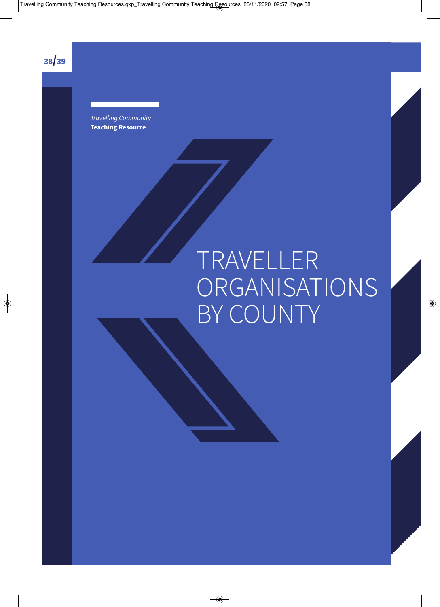38/39

Travelling Community **Teaching Resource** 

## TRAVELLER ORGANISATIONS BY COUNTY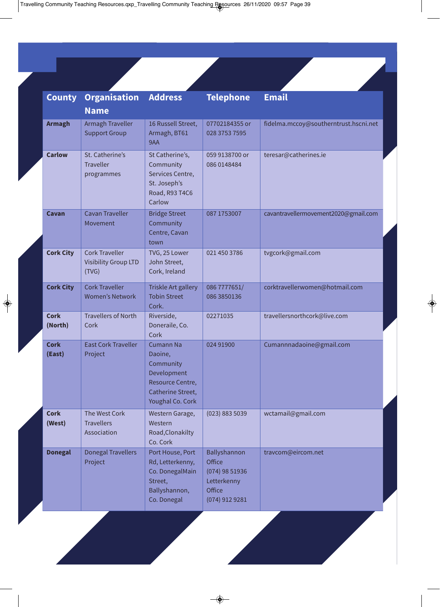| <b>County</b>          | <b>Organisation</b>                                           | <b>Address</b>                                                                                                       | <b>Telephone</b>                                                                        | <b>Email</b>                          |
|------------------------|---------------------------------------------------------------|----------------------------------------------------------------------------------------------------------------------|-----------------------------------------------------------------------------------------|---------------------------------------|
|                        | <b>Name</b>                                                   |                                                                                                                      |                                                                                         |                                       |
| <b>Armagh</b>          | Armagh Traveller<br><b>Support Group</b>                      | 16 Russell Street,<br>Armagh, BT61<br>9AA                                                                            | 07702184355 or<br>028 3753 7595                                                         | fidelma.mccoy@southerntrust.hscni.net |
| <b>Carlow</b>          | St. Catherine's<br><b>Traveller</b><br>programmes             | St Catherine's,<br>Community<br>Services Centre,<br>St. Joseph's<br>Road, R93 T4C6<br>Carlow                         | 059 9138700 or<br>086 0148484                                                           | teresar@catherines.ie                 |
| Cavan                  | <b>Cavan Traveller</b><br>Movement                            | <b>Bridge Street</b><br>Community<br>Centre, Cavan<br>town                                                           | 087 1753007                                                                             | cavantravellermovement2020@gmail.com  |
| <b>Cork City</b>       | <b>Cork Traveller</b><br><b>Visibility Group LTD</b><br>(TVG) | TVG, 25 Lower<br>John Street,<br>Cork, Ireland                                                                       | 021 450 3786                                                                            | tvgcork@gmail.com                     |
| <b>Cork City</b>       | <b>Cork Traveller</b><br><b>Women's Network</b>               | Triskle Art gallery<br><b>Tobin Street</b><br>Cork.                                                                  | 086 7777651/<br>086 3850136                                                             | corktravellerwomen@hotmail.com        |
| <b>Cork</b><br>(North) | <b>Travellers of North</b><br>Cork                            | Riverside,<br>Doneraile, Co.<br>Cork                                                                                 | 02271035                                                                                | travellersnorthcork@live.com          |
| <b>Cork</b><br>(East)  | <b>East Cork Traveller</b><br>Project                         | <b>Cumann Na</b><br>Daoine,<br>Community<br>Development<br>Resource Centre,<br>Catherine Street,<br>Youghal Co. Cork | 024 91900                                                                               | Cumannnadaoine@gmail.com              |
| <b>Cork</b><br>(West)  | The West Cork<br><b>Travellers</b><br>Association             | Western Garage,<br>Western<br>Road, Clonakilty<br>Co. Cork                                                           | (023) 883 5039                                                                          | wctamail@gmail.com                    |
| <b>Donegal</b>         | <b>Donegal Travellers</b><br>Project                          | Port House, Port<br>Rd, Letterkenny,<br>Co. DonegalMain<br>Street,<br>Ballyshannon,<br>Co. Donegal                   | Ballyshannon<br>Office<br>$(074)$ 98 51936<br>Letterkenny<br>Office<br>$(074)$ 912 9281 | travcom@eircom.net                    |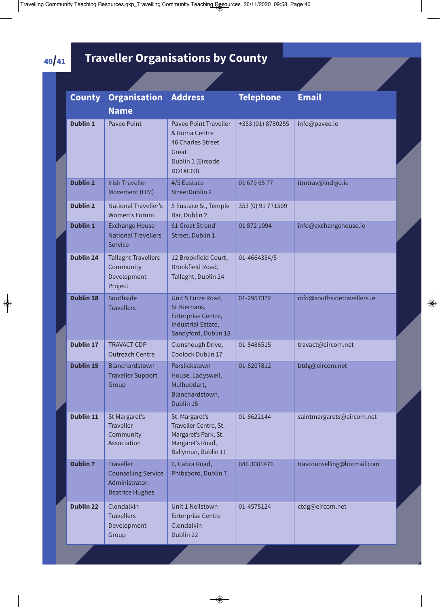#### 40/41 **Traveller Organisations by County**

| <b>County</b>    | <b>Organisation</b><br><b>Name</b>                                                         | <b>Address</b>                                                                                               | <b>Telephone</b>  | <b>Email</b>                |
|------------------|--------------------------------------------------------------------------------------------|--------------------------------------------------------------------------------------------------------------|-------------------|-----------------------------|
| <b>Dublin 1</b>  | <b>Pavee Point</b>                                                                         | <b>Pavee Point Traveller</b><br>& Roma Centre<br>46 Charles Street<br>Great<br>Dublin 1 (Eircode<br>DO1XC63) | +353 (01) 8780255 | info@pavee.ie               |
| <b>Dublin 2</b>  | <b>Irish Traveller</b><br>Movement (ITM)                                                   | 4/5 Eustace<br>StreetDublin 2                                                                                | 01 679 65 77      | itmtrav@indigo.ie           |
| <b>Dublin 2</b>  | <b>National Traveller's</b><br>Women's Forum                                               | 5 Eustace St, Temple<br>Bar, Dublin 2                                                                        | 353 (0) 91 771509 |                             |
| <b>Dublin 1</b>  | <b>Exchange House</b><br><b>National Travellers</b><br>Service                             | 61 Great Strand<br>Street, Dublin 1                                                                          | 01 872 1094       | info@exchangehouse.ie       |
| <b>Dublin 24</b> | <b>Tallaght Travellers</b><br>Community<br>Development<br>Project                          | 12 Brookfield Court,<br>Brookfield Road,<br>Tallaght, Dublin 24                                              | 01-4664334/5      |                             |
| <b>Dublin 18</b> | Southside<br><b>Travellers</b>                                                             | Unit 5 Furze Road,<br>St.Kiernans,<br>Enterprise Centre,<br>Industrial Estate,<br>Sandyford, Dublin 18       | 01-2957372        | info@southsidetravellers.ie |
| <b>Dublin 17</b> | <b>TRAVACT CDP</b><br><b>Outreach Centre</b>                                               | Clonshough Drive,<br>Coolock Dublin 17                                                                       | 01-8486515        | travact@eircom.net          |
| <b>Dublin 15</b> | Blanchardstown<br><b>Traveller Support</b><br>Group                                        | Parslickstown<br>House, Ladyswell,<br>Mulhuddart,<br>Blanchardstown,<br>Dublin 15                            | 01-8207812        | btdg@eircom.net             |
| Dublin 11        | St Margaret's<br><b>Traveller</b><br>Community<br>Association                              | St. Margaret's<br>Traveller Centre, St.<br>Margaret's Park, St.<br>Margaret's Road,<br>Ballymun, Dublin 11   | 01-8622144        | saintmargarets@eircom.net   |
| <b>Dublin 7</b>  | <b>Traveller</b><br><b>Counselling Service</b><br>Administrator:<br><b>Beatrice Hughes</b> | 6, Cabra Road,<br>Phibsboro, Dublin 7.                                                                       | 086 3081476       | travcounselling@hotmail.com |
| <b>Dublin 22</b> | Clondalkin<br><b>Travellers</b><br>Development<br>Group                                    | Unit 1 Neilstown<br><b>Enterprise Centre</b><br>Clondalkin<br>Dublin 22                                      | 01-4575124        | ctdg@eircom.net             |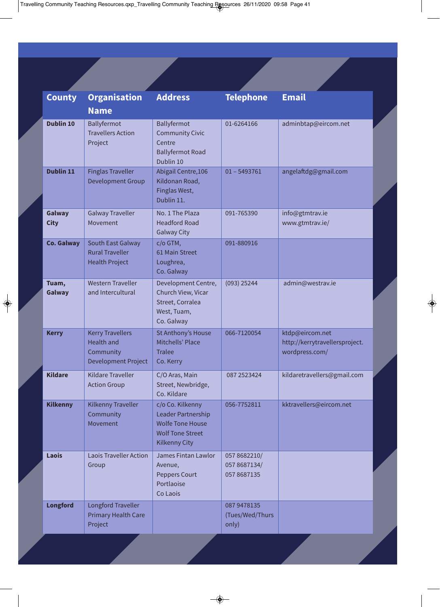| <b>County</b>         | <b>Organisation</b><br><b>Name</b>                                               | <b>Address</b>                                                                                                       | <b>Telephone</b>                            | <b>Email</b>                                                        |  |  |
|-----------------------|----------------------------------------------------------------------------------|----------------------------------------------------------------------------------------------------------------------|---------------------------------------------|---------------------------------------------------------------------|--|--|
| <b>Dublin 10</b>      | Ballyfermot<br><b>Travellers Action</b><br>Project                               | Ballyfermot<br><b>Community Civic</b><br>Centre<br><b>Ballyfermot Road</b><br>Dublin 10                              | 01-6264166                                  | adminbtap@eircom.net                                                |  |  |
| <b>Dublin 11</b>      | <b>Finglas Traveller</b><br><b>Development Group</b>                             | Abigail Centre, 106<br>Kildonan Road,<br>Finglas West,<br>Dublin 11.                                                 | $01 - 5493761$                              | angelaftdg@gmail.com                                                |  |  |
| Galway<br><b>City</b> | <b>Galway Traveller</b><br>Movement                                              | No. 1 The Plaza<br><b>Headford Road</b><br><b>Galway City</b>                                                        | 091-765390                                  | info@gtmtrav.ie<br>www.gtmtrav.ie/                                  |  |  |
| <b>Co. Galway</b>     | South East Galway<br><b>Rural Traveller</b><br><b>Health Project</b>             | c/o GTM,<br>61 Main Street<br>Loughrea,<br>Co. Galway                                                                | 091-880916                                  |                                                                     |  |  |
| Tuam,<br>Galway       | <b>Western Traveller</b><br>and Intercultural                                    | Development Centre,<br>Church View, Vicar<br>Street, Corralea<br>West, Tuam,<br>Co. Galway                           | $(093)$ 25244                               | admin@westrav.ie                                                    |  |  |
| <b>Kerry</b>          | <b>Kerry Travellers</b><br><b>Health and</b><br>Community<br>Development Project | St Anthony's House<br>Mitchells' Place<br><b>Tralee</b><br>Co. Kerry                                                 | 066-7120054                                 | ktdp@eircom.net<br>http://kerrytravellersproject.<br>wordpress.com/ |  |  |
| <b>Kildare</b>        | <b>Kildare Traveller</b><br><b>Action Group</b>                                  | C/O Aras, Main<br>Street, Newbridge,<br>Co. Kildare                                                                  | 087 2523424                                 | kildaretravellers@gmail.com                                         |  |  |
| <b>Kilkenny</b>       | Kilkenny Traveller<br>Community<br>Movement                                      | c/o Co. Kilkenny<br>Leader Partnership<br><b>Wolfe Tone House</b><br><b>Wolf Tone Street</b><br><b>Kilkenny City</b> | 056-7752811                                 | kktravellers@eircom.net                                             |  |  |
| Laois                 | <b>Laois Traveller Action</b><br>Group                                           | James Fintan Lawlor<br>Avenue,<br><b>Peppers Court</b><br>Portlaoise<br>Co Laois                                     | 057 8682210/<br>057 8687134/<br>057 8687135 |                                                                     |  |  |
| <b>Longford</b>       | Longford Traveller<br><b>Primary Health Care</b><br>Project                      |                                                                                                                      | 087 9478135<br>(Tues/Wed/Thurs<br>only)     |                                                                     |  |  |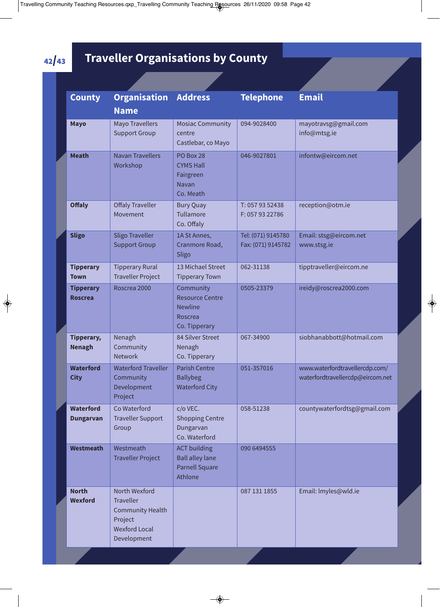#### **Traveller Organisations by County**

| <b>County</b>                        | <b>Organisation</b><br><b>Name</b>                                                                             | <b>Address</b>                                                                    | <b>Telephone</b>                         | <b>Email</b>                                                       |
|--------------------------------------|----------------------------------------------------------------------------------------------------------------|-----------------------------------------------------------------------------------|------------------------------------------|--------------------------------------------------------------------|
| <b>Mayo</b>                          | <b>Mayo Travellers</b><br><b>Support Group</b>                                                                 | <b>Mosiac Community</b><br>centre<br>Castlebar, co Mayo                           | 094-9028400                              | mayotravsg@gmail.com<br>info@mtsg.ie                               |
| <b>Meath</b>                         | <b>Navan Travellers</b><br>Workshop                                                                            | PO Box 28<br><b>CYMS Hall</b><br>Fairgreen<br>Navan<br>Co. Meath                  | 046-9027801                              | infontw@eircom.net                                                 |
| <b>Offaly</b>                        | <b>Offaly Traveller</b><br>Movement                                                                            | <b>Bury Quay</b><br>Tullamore<br>Co. Offaly                                       | T: 057 93 52438<br>F: 057 93 22786       | reception@otm.ie                                                   |
| <b>Sligo</b>                         | <b>Sligo Traveller</b><br><b>Support Group</b>                                                                 | 1A St Annes,<br>Cranmore Road,<br>Sligo                                           | Tel: (071) 9145780<br>Fax: (071) 9145782 | Email: stsg@eircom.net<br>www.stsg.ie                              |
| <b>Tipperary</b><br><b>Town</b>      | <b>Tipperary Rural</b><br><b>Traveller Project</b>                                                             | 13 Michael Street<br><b>Tipperary Town</b>                                        | 062-31138                                | tipptraveller@eircom.ne                                            |
| <b>Tipperary</b><br><b>Roscrea</b>   | Roscrea 2000                                                                                                   | Community<br><b>Resource Centre</b><br><b>Newline</b><br>Roscrea<br>Co. Tipperary | 0505-23379                               | ireidy@roscrea2000.com                                             |
| Tipperary,<br><b>Nenagh</b>          | Nenagh<br>Community<br><b>Network</b>                                                                          | 84 Silver Street<br>Nenagh<br>Co. Tipperary                                       | 067-34900                                | siobhanabbott@hotmail.com                                          |
| <b>Waterford</b><br><b>City</b>      | <b>Waterford Traveller</b><br>Community<br>Development<br>Project                                              | <b>Parish Centre</b><br><b>Ballybeg</b><br><b>Waterford City</b>                  | 051-357016                               | www.waterfordtravellercdp.com/<br>waterfordtravellercdp@eircom.net |
| <b>Waterford</b><br><b>Dungarvan</b> | Co Waterford<br><b>Traveller Support</b><br>Group                                                              | c/o VEC.<br><b>Shopping Centre</b><br>Dungarvan<br>Co. Waterford                  | 058-51238                                | countywaterfordtsg@gmail.com                                       |
| <b>Westmeath</b>                     | Westmeath<br><b>Traveller Project</b>                                                                          | <b>ACT building</b><br><b>Ball alley lane</b><br><b>Parnell Square</b><br>Athlone | 090 6494555                              |                                                                    |
| <b>North</b><br><b>Wexford</b>       | North Wexford<br><b>Traveller</b><br><b>Community Health</b><br>Project<br><b>Wexford Local</b><br>Development |                                                                                   | 087 131 1855                             | Email: Imyles@wld.ie                                               |

42/43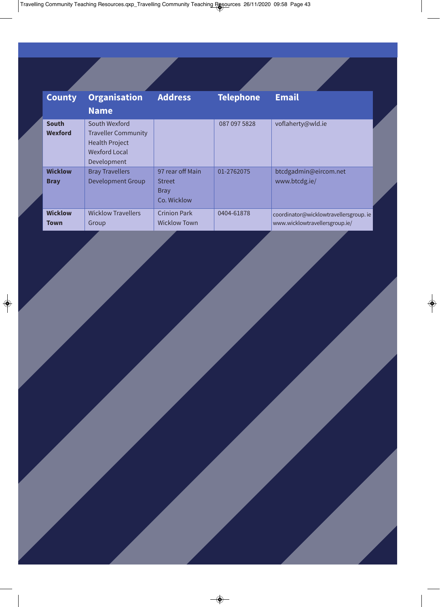| <b>County</b>                  | <b>Organisation</b><br><b>Name</b>                                                                          | <b>Address</b>                                                  | <b>Telephone</b> | <b>Email</b>                                                            |
|--------------------------------|-------------------------------------------------------------------------------------------------------------|-----------------------------------------------------------------|------------------|-------------------------------------------------------------------------|
| <b>South</b><br><b>Wexford</b> | South Wexford<br><b>Traveller Community</b><br><b>Health Project</b><br><b>Wexford Local</b><br>Development |                                                                 | 087 097 5828     | voflaherty@wld.ie                                                       |
| <b>Wicklow</b><br><b>Bray</b>  | <b>Bray Travellers</b><br><b>Development Group</b>                                                          | 97 rear off Main<br><b>Street</b><br><b>Bray</b><br>Co. Wicklow | 01-2762075       | btcdgadmin@eircom.net<br>www.btcdg.ie/                                  |
| <b>Wicklow</b><br>Town         | <b>Wicklow Travellers</b><br>Group                                                                          | <b>Crinion Park</b><br><b>Wicklow Town</b>                      | 0404-61878       | coordinator@wicklowtravellersgroup.ie<br>www.wicklowtravellersgroup.ie/ |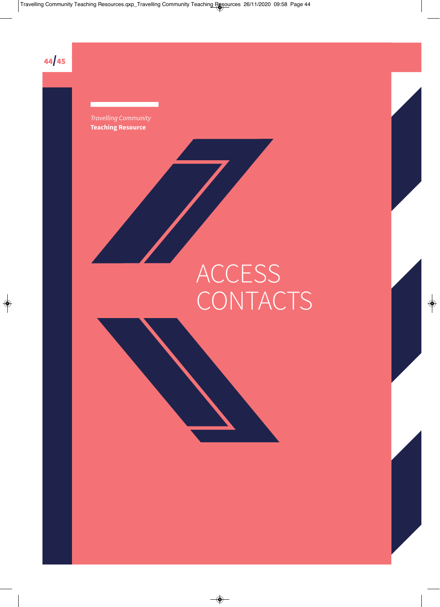

**Teaching Resource** 

## ACCESS CONTACTS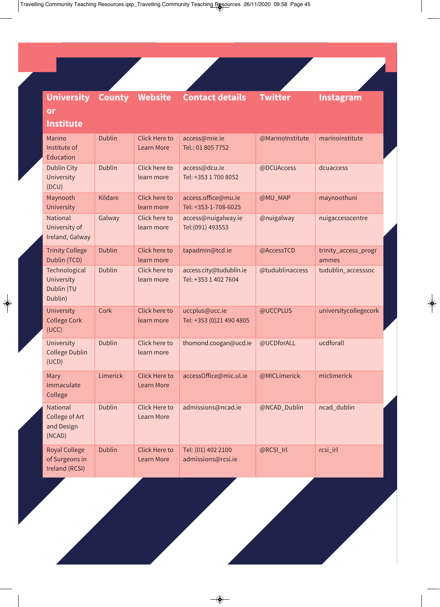| <b>University</b>                                        | <b>County</b> | <b>Website</b>                            | <b>Contact details</b>                          | <b>Twitter</b>   | Instagram                     |
|----------------------------------------------------------|---------------|-------------------------------------------|-------------------------------------------------|------------------|-------------------------------|
| or                                                       |               |                                           |                                                 |                  |                               |
| <b>Institute</b>                                         |               |                                           |                                                 |                  |                               |
| Marino<br>Institute of<br>Education                      | <b>Dublin</b> | <b>Click Here to</b><br><b>Learn More</b> | access@mie.ie<br>Tel.: 01 805 7752              | @MarinoInstitute | marinoinstitute               |
| <b>Dublin City</b><br>University<br>(DCU)                | <b>Dublin</b> | Click here to<br>learn more               | access@dcu.ie<br>Tel: +353 1 700 8052           | @DCUAccess       | dcuaccess                     |
| Maynooth<br>University                                   | Kildare       | Click here to<br>learn more               | access.office@mu.ie<br>Tel: +353-1-708-6025     | @MU_MAP          | maynoothuni                   |
| National<br>University of<br>Ireland, Galway             | Galway        | Click here to<br>learn more               | access@nuigalway.ie<br>Tel: (091) 493553        | @nuigalway       | nuigaccesscentre              |
| <b>Trinity College</b><br>Dublin (TCD)                   | <b>Dublin</b> | Click here to<br>learn more               | tapadmin@tcd.ie                                 | @AccessTCD       | trinity_access_progr<br>ammes |
| Technological<br>University<br>Dublin (TU<br>Dublin)     | <b>Dublin</b> | Click here to<br>learn more               | access.city@tudublin.ie<br>Tel: +353 1 402 7604 | @tudublinaccess  | tudublin_accesssoc            |
| University<br><b>College Cork</b><br>(UCC)               | Cork          | Click here to<br>learn more               | uccplus@ucc.ie<br>Tel: +353 (0)21 490 4805      | @UCCPLUS         | universitycollegecork         |
| University<br><b>College Dublin</b><br>(UCD)             | <b>Dublin</b> | Click here to<br>learn more               | thomond.coogan@ucd.ie                           | @UCDforALL       | ucdforall                     |
| Mary<br>Immaculate<br>College                            | Limerick      | <b>Click Here to</b><br><b>Learn More</b> | accessOffice@mic.ul.ie                          | @MICLimerick     | miclimerick                   |
| National<br>College of Art<br>and Design<br>(NCAD)       | <b>Dublin</b> | <b>Click Here to</b><br>Learn More        | admissions@ncad.ie                              | @NCAD_Dublin     | ncad_dublin                   |
| <b>Royal College</b><br>of Surgeons in<br>Ireland (RCSI) | <b>Dublin</b> | <b>Click Here to</b><br><b>Learn More</b> | Tel: (01) 402 2100<br>admissions@rcsi.ie        | @RCSI_Irl        | rcsi_irl                      |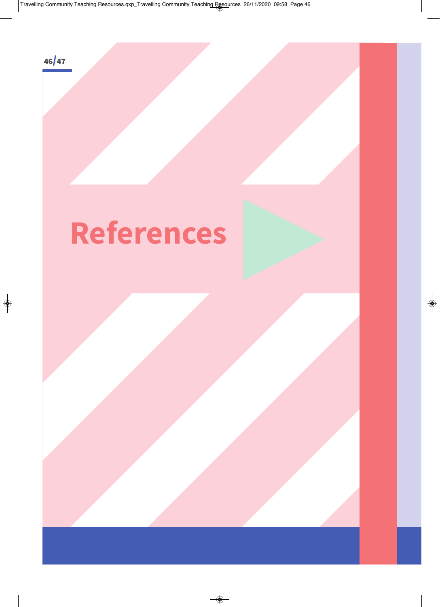

## **References**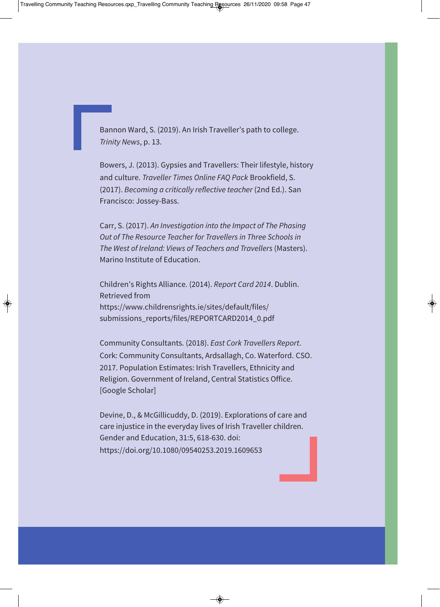Bannon Ward, S. (2019). An Irish Traveller's path to college. Trinity News, p. 13.

Bowers, J. (2013). Gypsies and Travellers: Their lifestyle, history and culture. Traveller Times Online FAQ Pack Brookfield, S. (2017). Becoming a critically reflective teacher (2nd Ed.). San Francisco: Jossey-Bass.

Carr, S. (2017). An Investigation into the Impact of The Phasing Out of The Resource Teacher for Travellers in Three Schools in The West of Ireland: Views of Teachers and Travellers (Masters). Marino Institute of Education.

Children's Rights Alliance. (2014). Report Card 2014. Dublin. Retrieved from https://www.childrensrights.ie/sites/default/files/ [submissions\\_reports/files/REPORTCARD2014\\_0.pdf](https://www.childrensrights.ie/sites/default/files/submissions_reports/files/REPORTCARD2014_0.pdf) 

Community Consultants. (2018). East Cork Travellers Report. Cork: Community Consultants, Ardsallagh, Co. Waterford. CSO. 2017. Population Estimates: Irish Travellers, Ethnicity and Religion. Government of Ireland, Central Statistics Office. [Google Scholar]

Devine, D., & McGillicuddy, D. (2019). Explorations of care and care injustice in the everyday lives of Irish Traveller children. Gender and Education, 31:5, 618-630. doi: [https://doi.org/10.1080/09540253.2019.1609653](https://www.tandfonline.com/doi/full/10.1080/09540253.2019.1609653)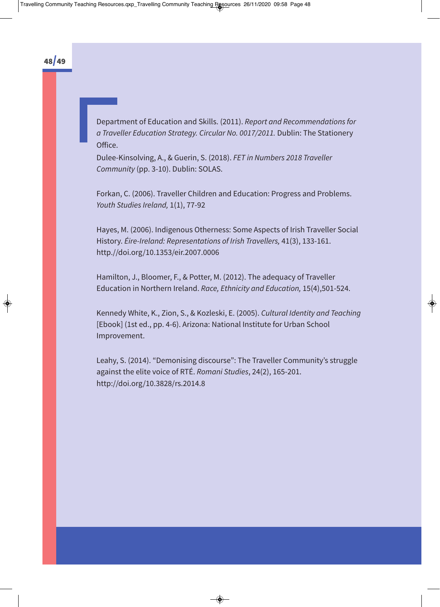

Department of Education and Skills. (2011). Report and Recommendations for a Traveller Education Strategy. Circular No. 0017/2011. Dublin: The Stationery Office.

Dulee-Kinsolving, A., & Guerin, S. (2018). FET in Numbers 2018 Traveller Community (pp. 3-10). Dublin: SOLAS.

Forkan, C. (2006). Traveller Children and Education: Progress and Problems. Youth Studies Ireland, 1(1), 77-92

Hayes, M. (2006). Indigenous Otherness: Some Aspects of Irish Traveller Social History. Éire-Ireland: Representations of Irish Travellers, 41(3), 133-161. http.//doi.org/10.1353/eir.2007.0006

Hamilton, J., Bloomer, F., & Potter, M. (2012). The adequacy of Traveller Education in Northern Ireland. Race, Ethnicity and Education, 15(4),501-524.

Kennedy White, K., Zion, S., & Kozleski, E. (2005). Cultural Identity and Teaching [Ebook] (1st ed., pp. 4-6). Arizona: National Institute for Urban School Improvement.

Leahy, S. (2014). "Demonising discourse": The Traveller Community's struggle against the elite voice of RTÉ. Romani Studies, 24(2), 165-201. [http://doi.org/10.3828/rs.2014.8](https://www.liverpooluniversitypress.co.uk/journals/article/47968)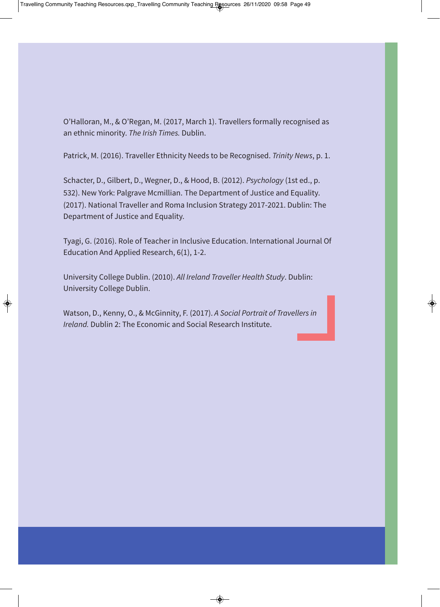O'Halloran, M., & O'Regan, M. (2017, March 1). Travellers formally recognised as an ethnic minority. The Irish Times. Dublin.

Patrick, M. (2016). Traveller Ethnicity Needs to be Recognised. Trinity News, p. 1.

Schacter, D., Gilbert, D., Wegner, D., & Hood, B. (2012). Psychology (1st ed., p. 532). New York: Palgrave Mcmillian. The Department of Justice and Equality. (2017). National Traveller and Roma Inclusion Strategy 2017-2021. Dublin: The Department of Justice and Equality.

Tyagi, G. (2016). Role of Teacher in Inclusive Education. International Journal Of Education And Applied Research, 6(1), 1-2.

University College Dublin. (2010). All Ireland Traveller Health Study. Dublin: University College Dublin.

Watson, D., Kenny, O., & McGinnity, F. (2017). A Social Portrait of Travellers in Ireland. Dublin 2: The Economic and Social Research Institute.